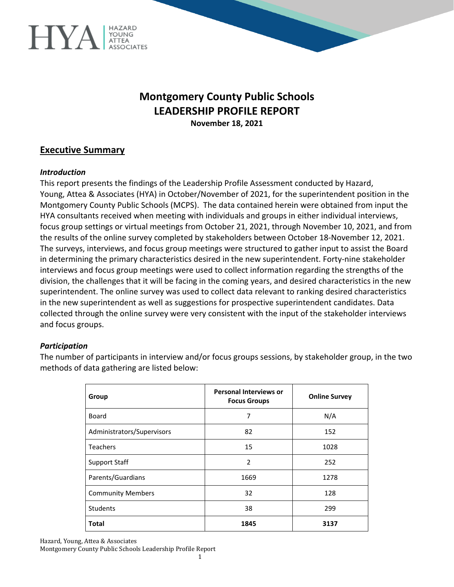

# **Montgomery County Public Schools LEADERSHIP PROFILE REPORT November 18, 2021**

## **Executive Summary**

#### *Introduction*

This report presents the findings of the Leadership Profile Assessment conducted by Hazard, Young, Attea & Associates (HYA) in October/November of 2021, for the superintendent position in the Montgomery County Public Schools (MCPS). The data contained herein were obtained from input the HYA consultants received when meeting with individuals and groups in either individual interviews, focus group settings or virtual meetings from October 21, 2021, through November 10, 2021, and from the results of the online survey completed by stakeholders between October 18-November 12, 2021. The surveys, interviews, and focus group meetings were structured to gather input to assist the Board in determining the primary characteristics desired in the new superintendent. Forty-nine stakeholder interviews and focus group meetings were used to collect information regarding the strengths of the division, the challenges that it will be facing in the coming years, and desired characteristics in the new superintendent. The online survey was used to collect data relevant to ranking desired characteristics in the new superintendent as well as suggestions for prospective superintendent candidates. Data collected through the online survey were very consistent with the input of the stakeholder interviews and focus groups.

#### *Participation*

The number of participants in interview and/or focus groups sessions, by stakeholder group, in the two methods of data gathering are listed below:

| Group                      | <b>Personal Interviews or</b><br><b>Focus Groups</b> | <b>Online Survey</b> |
|----------------------------|------------------------------------------------------|----------------------|
| Board                      | 7                                                    | N/A                  |
| Administrators/Supervisors | 82                                                   | 152                  |
| <b>Teachers</b>            | 15                                                   | 1028                 |
| <b>Support Staff</b>       | 2                                                    | 252                  |
| Parents/Guardians          | 1669                                                 | 1278                 |
| <b>Community Members</b>   | 32                                                   | 128                  |
| Students                   | 38                                                   | 299                  |
| <b>Total</b>               | 1845                                                 | 3137                 |

Hazard, Young, Attea & Associates

Montgomery County Public Schools Leadership Profile Report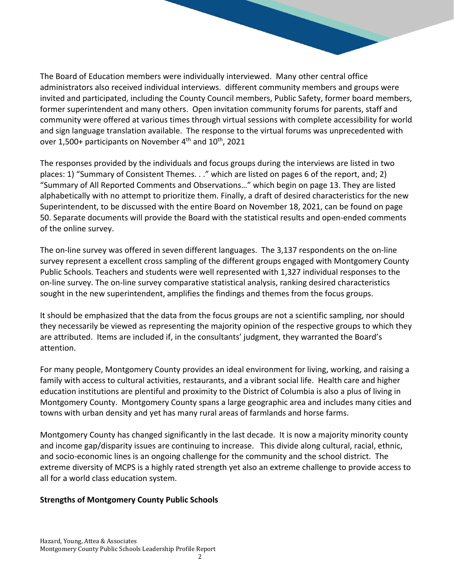The Board of Education members were individually interviewed. Many other central office administrators also received individual interviews. different community members and groups were invited and participated, including the County Council members, Public Safety, former board members, former superintendent and many others. Open invitation community forums for parents, staff and community were offered at various times through virtual sessions with complete accessibility for world and sign language translation available. The response to the virtual forums was unprecedented with over 1,500+ participants on November  $4<sup>th</sup>$  and  $10<sup>th</sup>$ , 2021

The responses provided by the individuals and focus groups during the interviews are listed in two places: 1) "Summary of Consistent Themes. . ." which are listed on pages 6 of the report, and; 2) "Summary of All Reported Comments and Observations…" which begin on page 13. They are listed alphabetically with no attempt to prioritize them. Finally, a draft of desired characteristics for the new Superintendent, to be discussed with the entire Board on November 18, 2021, can be found on page 50. Separate documents will provide the Board with the statistical results and open-ended comments of the online survey.

The on-line survey was offered in seven different languages. The 3,137 respondents on the on-line survey represent a excellent cross sampling of the different groups engaged with Montgomery County Public Schools. Teachers and students were well represented with 1,327 individual responses to the on-line survey. The on-line survey comparative statistical analysis, ranking desired characteristics sought in the new superintendent, amplifies the findings and themes from the focus groups.

It should be emphasized that the data from the focus groups are not a scientific sampling, nor should they necessarily be viewed as representing the majority opinion of the respective groups to which they are attributed. Items are included if, in the consultants' judgment, they warranted the Board's attention.

For many people, Montgomery County provides an ideal environment for living, working, and raising a family with access to cultural activities, restaurants, and a vibrant social life. Health care and higher education institutions are plentiful and proximity to the District of Columbia is also a plus of living in Montgomery County. Montgomery County spans a large geographic area and includes many cities and towns with urban density and yet has many rural areas of farmlands and horse farms.

Montgomery County has changed significantly in the last decade. It is now a majority minority county and income gap/disparity issues are continuing to increase. This divide along cultural, racial, ethnic, and socio-economic lines is an ongoing challenge for the community and the school district. The extreme diversity of MCPS is a highly rated strength yet also an extreme challenge to provide access to all for a world class education system.

### **Strengths of Montgomery County Public Schools**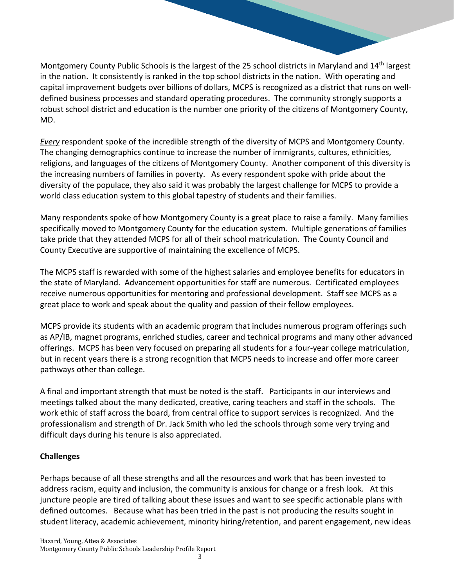Montgomery County Public Schools is the largest of the 25 school districts in Maryland and 14th largest in the nation. It consistently is ranked in the top school districts in the nation. With operating and capital improvement budgets over billions of dollars, MCPS is recognized as a district that runs on welldefined business processes and standard operating procedures. The community strongly supports a robust school district and education is the number one priority of the citizens of Montgomery County, MD.

*Every* respondent spoke of the incredible strength of the diversity of MCPS and Montgomery County. The changing demographics continue to increase the number of immigrants, cultures, ethnicities, religions, and languages of the citizens of Montgomery County. Another component of this diversity is the increasing numbers of families in poverty. As every respondent spoke with pride about the diversity of the populace, they also said it was probably the largest challenge for MCPS to provide a world class education system to this global tapestry of students and their families.

Many respondents spoke of how Montgomery County is a great place to raise a family. Many families specifically moved to Montgomery County for the education system. Multiple generations of families take pride that they attended MCPS for all of their school matriculation. The County Council and County Executive are supportive of maintaining the excellence of MCPS.

The MCPS staff is rewarded with some of the highest salaries and employee benefits for educators in the state of Maryland. Advancement opportunities for staff are numerous. Certificated employees receive numerous opportunities for mentoring and professional development. Staff see MCPS as a great place to work and speak about the quality and passion of their fellow employees.

MCPS provide its students with an academic program that includes numerous program offerings such as AP/IB, magnet programs, enriched studies, career and technical programs and many other advanced offerings. MCPS has been very focused on preparing all students for a four-year college matriculation, but in recent years there is a strong recognition that MCPS needs to increase and offer more career pathways other than college.

A final and important strength that must be noted is the staff. Participants in our interviews and meetings talked about the many dedicated, creative, caring teachers and staff in the schools. The work ethic of staff across the board, from central office to support services is recognized. And the professionalism and strength of Dr. Jack Smith who led the schools through some very trying and difficult days during his tenure is also appreciated.

# **Challenges**

Perhaps because of all these strengths and all the resources and work that has been invested to address racism, equity and inclusion, the community is anxious for change or a fresh look. At this juncture people are tired of talking about these issues and want to see specific actionable plans with defined outcomes. Because what has been tried in the past is not producing the results sought in student literacy, academic achievement, minority hiring/retention, and parent engagement, new ideas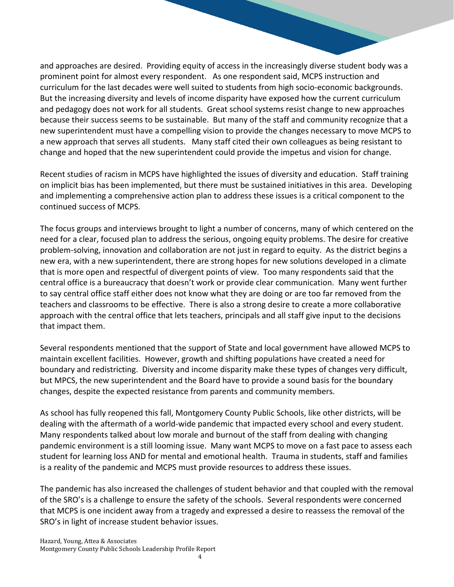and approaches are desired. Providing equity of access in the increasingly diverse student body was a prominent point for almost every respondent. As one respondent said, MCPS instruction and curriculum for the last decades were well suited to students from high socio-economic backgrounds. But the increasing diversity and levels of income disparity have exposed how the current curriculum and pedagogy does not work for all students. Great school systems resist change to new approaches because their success seems to be sustainable. But many of the staff and community recognize that a new superintendent must have a compelling vision to provide the changes necessary to move MCPS to a new approach that serves all students. Many staff cited their own colleagues as being resistant to change and hoped that the new superintendent could provide the impetus and vision for change.

Recent studies of racism in MCPS have highlighted the issues of diversity and education. Staff training on implicit bias has been implemented, but there must be sustained initiatives in this area. Developing and implementing a comprehensive action plan to address these issues is a critical component to the continued success of MCPS.

The focus groups and interviews brought to light a number of concerns, many of which centered on the need for a clear, focused plan to address the serious, ongoing equity problems. The desire for creative problem-solving, innovation and collaboration are not just in regard to equity. As the district begins a new era, with a new superintendent, there are strong hopes for new solutions developed in a climate that is more open and respectful of divergent points of view. Too many respondents said that the central office is a bureaucracy that doesn't work or provide clear communication. Many went further to say central office staff either does not know what they are doing or are too far removed from the teachers and classrooms to be effective. There is also a strong desire to create a more collaborative approach with the central office that lets teachers, principals and all staff give input to the decisions that impact them.

Several respondents mentioned that the support of State and local government have allowed MCPS to maintain excellent facilities. However, growth and shifting populations have created a need for boundary and redistricting. Diversity and income disparity make these types of changes very difficult, but MPCS, the new superintendent and the Board have to provide a sound basis for the boundary changes, despite the expected resistance from parents and community members.

As school has fully reopened this fall, Montgomery County Public Schools, like other districts, will be dealing with the aftermath of a world-wide pandemic that impacted every school and every student. Many respondents talked about low morale and burnout of the staff from dealing with changing pandemic environment is a still looming issue. Many want MCPS to move on a fast pace to assess each student for learning loss AND for mental and emotional health. Trauma in students, staff and families is a reality of the pandemic and MCPS must provide resources to address these issues.

The pandemic has also increased the challenges of student behavior and that coupled with the removal of the SRO's is a challenge to ensure the safety of the schools. Several respondents were concerned that MCPS is one incident away from a tragedy and expressed a desire to reassess the removal of the SRO's in light of increase student behavior issues.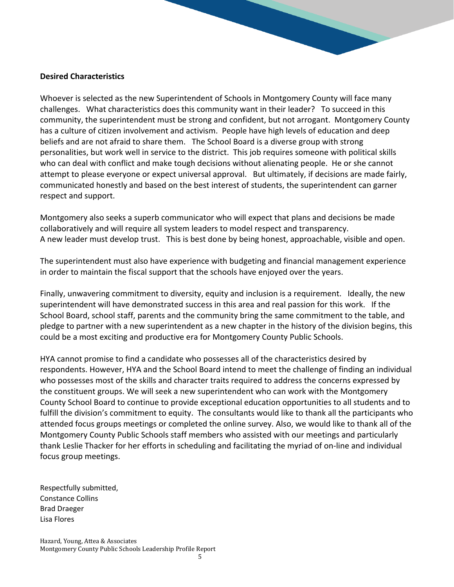#### **Desired Characteristics**

Whoever is selected as the new Superintendent of Schools in Montgomery County will face many challenges. What characteristics does this community want in their leader? To succeed in this community, the superintendent must be strong and confident, but not arrogant. Montgomery County has a culture of citizen involvement and activism. People have high levels of education and deep beliefs and are not afraid to share them. The School Board is a diverse group with strong personalities, but work well in service to the district. This job requires someone with political skills who can deal with conflict and make tough decisions without alienating people. He or she cannot attempt to please everyone or expect universal approval. But ultimately, if decisions are made fairly, communicated honestly and based on the best interest of students, the superintendent can garner respect and support.

Montgomery also seeks a superb communicator who will expect that plans and decisions be made collaboratively and will require all system leaders to model respect and transparency. A new leader must develop trust. This is best done by being honest, approachable, visible and open.

The superintendent must also have experience with budgeting and financial management experience in order to maintain the fiscal support that the schools have enjoyed over the years.

Finally, unwavering commitment to diversity, equity and inclusion is a requirement. Ideally, the new superintendent will have demonstrated success in this area and real passion for this work. If the School Board, school staff, parents and the community bring the same commitment to the table, and pledge to partner with a new superintendent as a new chapter in the history of the division begins, this could be a most exciting and productive era for Montgomery County Public Schools.

HYA cannot promise to find a candidate who possesses all of the characteristics desired by respondents. However, HYA and the School Board intend to meet the challenge of finding an individual who possesses most of the skills and character traits required to address the concerns expressed by the constituent groups. We will seek a new superintendent who can work with the Montgomery County School Board to continue to provide exceptional education opportunities to all students and to fulfill the division's commitment to equity. The consultants would like to thank all the participants who attended focus groups meetings or completed the online survey. Also, we would like to thank all of the Montgomery County Public Schools staff members who assisted with our meetings and particularly thank Leslie Thacker for her efforts in scheduling and facilitating the myriad of on-line and individual focus group meetings.

Respectfully submitted, Constance Collins Brad Draeger Lisa Flores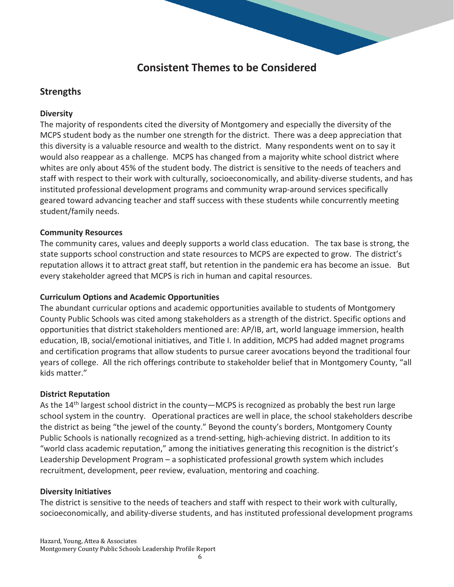# **Consistent Themes to be Considered**

# **Strengths**

## **Diversity**

The majority of respondents cited the diversity of Montgomery and especially the diversity of the MCPS student body as the number one strength for the district. There was a deep appreciation that this diversity is a valuable resource and wealth to the district. Many respondents went on to say it would also reappear as a challenge. MCPS has changed from a majority white school district where whites are only about 45% of the student body. The district is sensitive to the needs of teachers and staff with respect to their work with culturally, socioeconomically, and ability-diverse students, and has instituted professional development programs and community wrap-around services specifically geared toward advancing teacher and staff success with these students while concurrently meeting student/family needs.

## **Community Resources**

The community cares, values and deeply supports a world class education. The tax base is strong, the state supports school construction and state resources to MCPS are expected to grow. The district's reputation allows it to attract great staff, but retention in the pandemic era has become an issue. But every stakeholder agreed that MCPS is rich in human and capital resources.

### **Curriculum Options and Academic Opportunities**

The abundant curricular options and academic opportunities available to students of Montgomery County Public Schools was cited among stakeholders as a strength of the district. Specific options and opportunities that district stakeholders mentioned are: AP/IB, art, world language immersion, health education, IB, social/emotional initiatives, and Title I. In addition, MCPS had added magnet programs and certification programs that allow students to pursue career avocations beyond the traditional four years of college. All the rich offerings contribute to stakeholder belief that in Montgomery County, "all kids matter."

### **District Reputation**

As the 14<sup>th</sup> largest school district in the county—MCPS is recognized as probably the best run large school system in the country. Operational practices are well in place, the school stakeholders describe the district as being "the jewel of the county." Beyond the county's borders, Montgomery County Public Schools is nationally recognized as a trend-setting, high-achieving district. In addition to its "world class academic reputation," among the initiatives generating this recognition is the district's Leadership Development Program – a sophisticated professional growth system which includes recruitment, development, peer review, evaluation, mentoring and coaching.

### **Diversity Initiatives**

The district is sensitive to the needs of teachers and staff with respect to their work with culturally, socioeconomically, and ability-diverse students, and has instituted professional development programs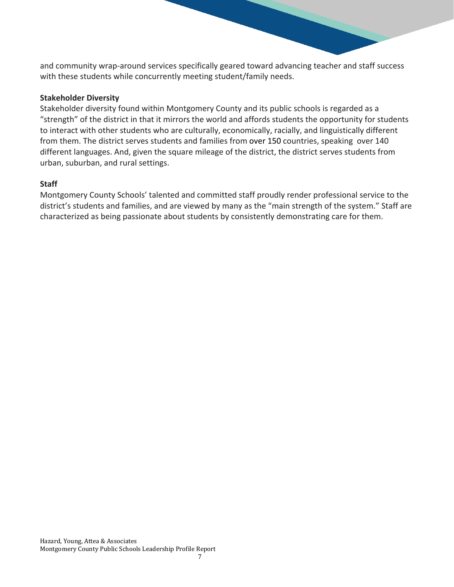and community wrap-around services specifically geared toward advancing teacher and staff success with these students while concurrently meeting student/family needs.

#### **Stakeholder Diversity**

Stakeholder diversity found within Montgomery County and its public schools is regarded as a "strength" of the district in that it mirrors the world and affords students the opportunity for students to interact with other students who are culturally, economically, racially, and linguistically different from them. The district serves students and families from over 150 countries, speaking over 140 different languages. And, given the square mileage of the district, the district serves students from urban, suburban, and rural settings.

### **Staff**

Montgomery County Schools' talented and committed staff proudly render professional service to the district's students and families, and are viewed by many as the "main strength of the system." Staff are characterized as being passionate about students by consistently demonstrating care for them.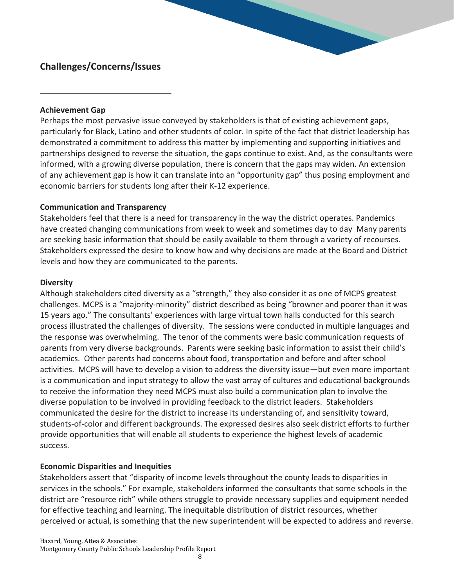# **Challenges/Concerns/Issues**

#### **Achievement Gap**

Perhaps the most pervasive issue conveyed by stakeholders is that of existing achievement gaps, particularly for Black, Latino and other students of color. In spite of the fact that district leadership has demonstrated a commitment to address this matter by implementing and supporting initiatives and partnerships designed to reverse the situation, the gaps continue to exist. And, as the consultants were informed, with a growing diverse population, there is concern that the gaps may widen. An extension of any achievement gap is how it can translate into an "opportunity gap" thus posing employment and economic barriers for students long after their K-12 experience.

#### **Communication and Transparency**

Stakeholders feel that there is a need for transparency in the way the district operates. Pandemics have created changing communications from week to week and sometimes day to day Many parents are seeking basic information that should be easily available to them through a variety of recourses. Stakeholders expressed the desire to know how and why decisions are made at the Board and District levels and how they are communicated to the parents.

#### **Diversity**

Although stakeholders cited diversity as a "strength," they also consider it as one of MCPS greatest challenges. MCPS is a "majority-minority" district described as being "browner and poorer than it was 15 years ago." The consultants' experiences with large virtual town halls conducted for this search process illustrated the challenges of diversity. The sessions were conducted in multiple languages and the response was overwhelming. The tenor of the comments were basic communication requests of parents from very diverse backgrounds. Parents were seeking basic information to assist their child's academics. Other parents had concerns about food, transportation and before and after school activities. MCPS will have to develop a vision to address the diversity issue—but even more important is a communication and input strategy to allow the vast array of cultures and educational backgrounds to receive the information they need MCPS must also build a communication plan to involve the diverse population to be involved in providing feedback to the district leaders. Stakeholders communicated the desire for the district to increase its understanding of, and sensitivity toward, students-of-color and different backgrounds. The expressed desires also seek district efforts to further provide opportunities that will enable all students to experience the highest levels of academic success.

### **Economic Disparities and Inequities**

Stakeholders assert that "disparity of income levels throughout the county leads to disparities in services in the schools." For example, stakeholders informed the consultants that some schools in the district are "resource rich" while others struggle to provide necessary supplies and equipment needed for effective teaching and learning. The inequitable distribution of district resources, whether perceived or actual, is something that the new superintendent will be expected to address and reverse.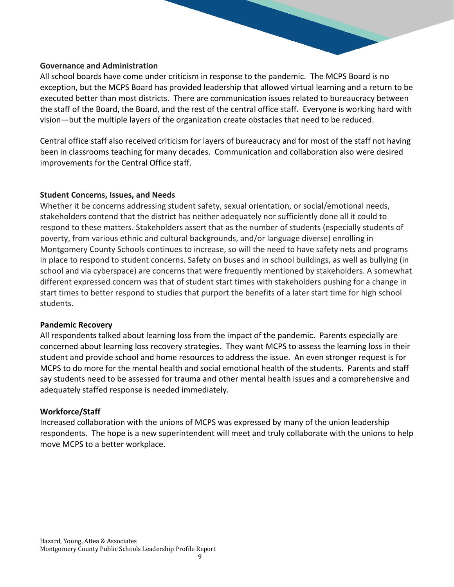#### **Governance and Administration**

All school boards have come under criticism in response to the pandemic. The MCPS Board is no exception, but the MCPS Board has provided leadership that allowed virtual learning and a return to be executed better than most districts. There are communication issues related to bureaucracy between the staff of the Board, the Board, and the rest of the central office staff. Everyone is working hard with vision—but the multiple layers of the organization create obstacles that need to be reduced.

Central office staff also received criticism for layers of bureaucracy and for most of the staff not having been in classrooms teaching for many decades. Communication and collaboration also were desired improvements for the Central Office staff.

#### **Student Concerns, Issues, and Needs**

Whether it be concerns addressing student safety, sexual orientation, or social/emotional needs, stakeholders contend that the district has neither adequately nor sufficiently done all it could to respond to these matters. Stakeholders assert that as the number of students (especially students of poverty, from various ethnic and cultural backgrounds, and/or language diverse) enrolling in Montgomery County Schools continues to increase, so will the need to have safety nets and programs in place to respond to student concerns. Safety on buses and in school buildings, as well as bullying (in school and via cyberspace) are concerns that were frequently mentioned by stakeholders. A somewhat different expressed concern was that of student start times with stakeholders pushing for a change in start times to better respond to studies that purport the benefits of a later start time for high school students.

#### **Pandemic Recovery**

All respondents talked about learning loss from the impact of the pandemic. Parents especially are concerned about learning loss recovery strategies. They want MCPS to assess the learning loss in their student and provide school and home resources to address the issue. An even stronger request is for MCPS to do more for the mental health and social emotional health of the students. Parents and staff say students need to be assessed for trauma and other mental health issues and a comprehensive and adequately staffed response is needed immediately.

### **Workforce/Staff**

Increased collaboration with the unions of MCPS was expressed by many of the union leadership respondents. The hope is a new superintendent will meet and truly collaborate with the unions to help move MCPS to a better workplace.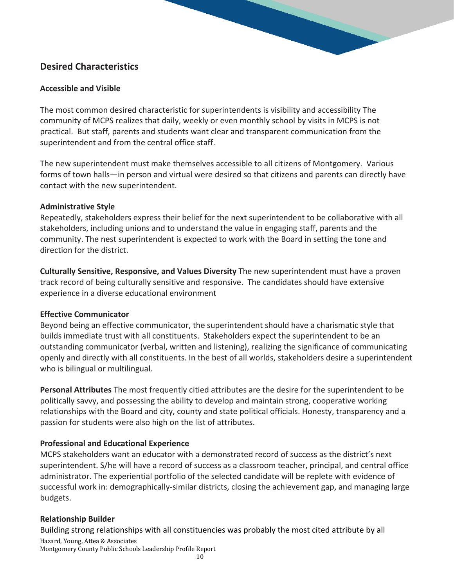# **Desired Characteristics**

### **Accessible and Visible**

The most common desired characteristic for superintendents is visibility and accessibility The community of MCPS realizes that daily, weekly or even monthly school by visits in MCPS is not practical. But staff, parents and students want clear and transparent communication from the superintendent and from the central office staff.

The new superintendent must make themselves accessible to all citizens of Montgomery. Various forms of town halls—in person and virtual were desired so that citizens and parents can directly have contact with the new superintendent.

### **Administrative Style**

Repeatedly, stakeholders express their belief for the next superintendent to be collaborative with all stakeholders, including unions and to understand the value in engaging staff, parents and the community. The nest superintendent is expected to work with the Board in setting the tone and direction for the district.

**Culturally Sensitive, Responsive, and Values Diversity** The new superintendent must have a proven track record of being culturally sensitive and responsive. The candidates should have extensive experience in a diverse educational environment

### **Effective Communicator**

Beyond being an effective communicator, the superintendent should have a charismatic style that builds immediate trust with all constituents. Stakeholders expect the superintendent to be an outstanding communicator (verbal, written and listening), realizing the significance of communicating openly and directly with all constituents. In the best of all worlds, stakeholders desire a superintendent who is bilingual or multilingual.

**Personal Attributes** The most frequently citied attributes are the desire for the superintendent to be politically savvy, and possessing the ability to develop and maintain strong, cooperative working relationships with the Board and city, county and state political officials. Honesty, transparency and a passion for students were also high on the list of attributes.

# **Professional and Educational Experience**

MCPS stakeholders want an educator with a demonstrated record of success as the district's next superintendent. S/he will have a record of success as a classroom teacher, principal, and central office administrator. The experiential portfolio of the selected candidate will be replete with evidence of successful work in: demographically-similar districts, closing the achievement gap, and managing large budgets.

# **Relationship Builder**

Building strong relationships with all constituencies was probably the most cited attribute by all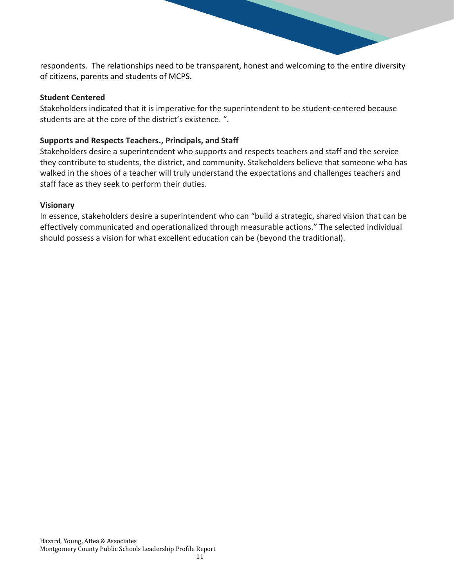respondents. The relationships need to be transparent, honest and welcoming to the entire diversity of citizens, parents and students of MCPS.

#### **Student Centered**

Stakeholders indicated that it is imperative for the superintendent to be student-centered because students are at the core of the district's existence. ".

#### **Supports and Respects Teachers., Principals, and Staff**

Stakeholders desire a superintendent who supports and respects teachers and staff and the service they contribute to students, the district, and community. Stakeholders believe that someone who has walked in the shoes of a teacher will truly understand the expectations and challenges teachers and staff face as they seek to perform their duties.

#### **Visionary**

In essence, stakeholders desire a superintendent who can "build a strategic, shared vision that can be effectively communicated and operationalized through measurable actions." The selected individual should possess a vision for what excellent education can be (beyond the traditional).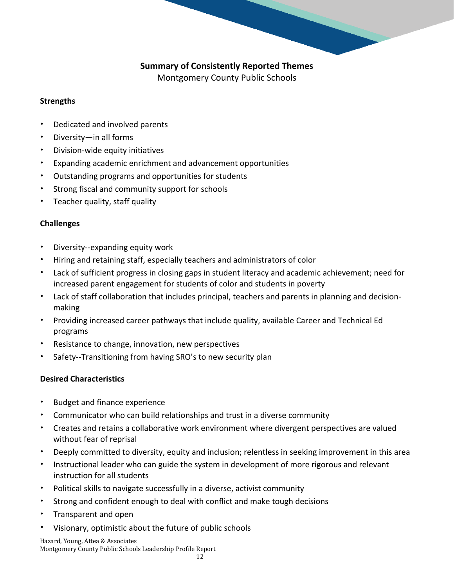# **Summary of Consistently Reported Themes**

Montgomery County Public Schools

### **Strengths**

- Dedicated and involved parents
- Diversity—in all forms
- Division-wide equity initiatives
- Expanding academic enrichment and advancement opportunities
- Outstanding programs and opportunities for students
- Strong fiscal and community support for schools
- Teacher quality, staff quality

## **Challenges**

- Diversity--expanding equity work
- Hiring and retaining staff, especially teachers and administrators of color
- Lack of sufficient progress in closing gaps in student literacy and academic achievement; need for increased parent engagement for students of color and students in poverty
- Lack of staff collaboration that includes principal, teachers and parents in planning and decisionmaking
- Providing increased career pathways that include quality, available Career and Technical Ed programs
- Resistance to change, innovation, new perspectives
- Safety--Transitioning from having SRO's to new security plan

# **Desired Characteristics**

- Budget and finance experience
- Communicator who can build relationships and trust in a diverse community
- Creates and retains a collaborative work environment where divergent perspectives are valued without fear of reprisal
- Deeply committed to diversity, equity and inclusion; relentless in seeking improvement in this area
- Instructional leader who can guide the system in development of more rigorous and relevant instruction for all students
- Political skills to navigate successfully in a diverse, activist community
- Strong and confident enough to deal with conflict and make tough decisions
- Transparent and open
- Visionary, optimistic about the future of public schools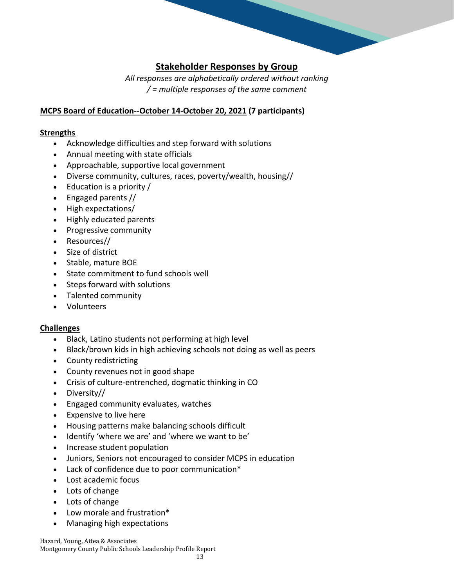# **Stakeholder Responses by Group**

*All responses are alphabetically ordered without ranking / = multiple responses of the same comment*

## **MCPS Board of Education--October 14-October 20, 2021 (7 participants)**

#### **Strengths**

- Acknowledge difficulties and step forward with solutions
- Annual meeting with state officials
- Approachable, supportive local government
- Diverse community, cultures, races, poverty/wealth, housing//
- Education is a priority /
- Engaged parents //
- High expectations/
- Highly educated parents
- Progressive community
- Resources//
- Size of district
- Stable, mature BOE
- State commitment to fund schools well
- Steps forward with solutions
- Talented community
- Volunteers

### **Challenges**

- Black, Latino students not performing at high level
- Black/brown kids in high achieving schools not doing as well as peers
- County redistricting
- County revenues not in good shape
- Crisis of culture-entrenched, dogmatic thinking in CO
- Diversity//
- Engaged community evaluates, watches
- Expensive to live here
- Housing patterns make balancing schools difficult
- Identify 'where we are' and 'where we want to be'
- Increase student population
- Juniors, Seniors not encouraged to consider MCPS in education
- Lack of confidence due to poor communication\*
- Lost academic focus
- Lots of change
- Lots of change
- Low morale and frustration\*
- Managing high expectations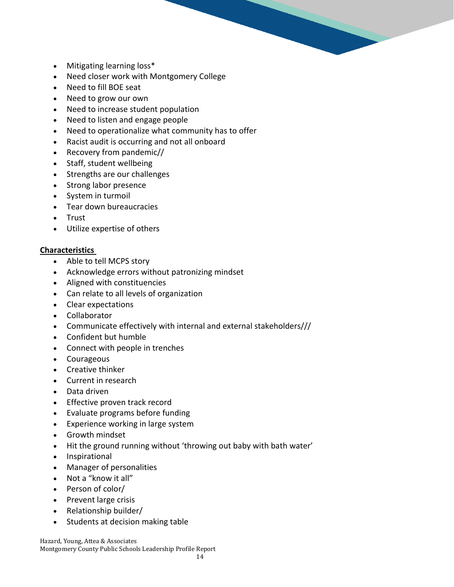- Mitigating learning loss\*
- Need closer work with Montgomery College
- Need to fill BOE seat
- Need to grow our own
- Need to increase student population
- Need to listen and engage people
- Need to operationalize what community has to offer
- Racist audit is occurring and not all onboard
- Recovery from pandemic//
- Staff, student wellbeing
- Strengths are our challenges
- Strong labor presence
- System in turmoil
- Tear down bureaucracies
- Trust
- Utilize expertise of others

- Able to tell MCPS story
- Acknowledge errors without patronizing mindset
- Aligned with constituencies
- Can relate to all levels of organization
- Clear expectations
- Collaborator
- Communicate effectively with internal and external stakeholders///
- Confident but humble
- Connect with people in trenches
- Courageous
- Creative thinker
- Current in research
- Data driven
- Effective proven track record
- Evaluate programs before funding
- Experience working in large system
- Growth mindset
- Hit the ground running without 'throwing out baby with bath water'
- Inspirational
- Manager of personalities
- Not a "know it all"
- Person of color/
- Prevent large crisis
- Relationship builder/
- Students at decision making table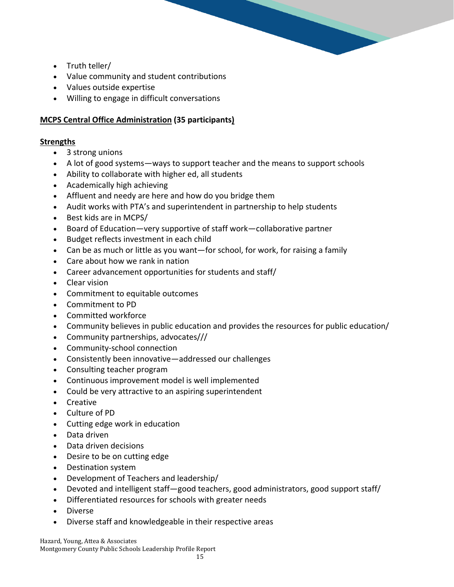- Truth teller/
- Value community and student contributions
- Values outside expertise
- Willing to engage in difficult conversations

### **MCPS Central Office Administration (35 participants)**

#### **Strengths**

- 3 strong unions
- A lot of good systems—ways to support teacher and the means to support schools
- Ability to collaborate with higher ed, all students
- Academically high achieving
- Affluent and needy are here and how do you bridge them
- Audit works with PTA's and superintendent in partnership to help students
- Best kids are in MCPS/
- Board of Education—very supportive of staff work—collaborative partner
- Budget reflects investment in each child
- Can be as much or little as you want—for school, for work, for raising a family
- Care about how we rank in nation
- Career advancement opportunities for students and staff/
- Clear vision
- Commitment to equitable outcomes
- Commitment to PD
- Committed workforce
- Community believes in public education and provides the resources for public education/
- Community partnerships, advocates///
- Community-school connection
- Consistently been innovative—addressed our challenges
- Consulting teacher program
- Continuous improvement model is well implemented
- Could be very attractive to an aspiring superintendent
- Creative
- Culture of PD
- Cutting edge work in education
- Data driven
- Data driven decisions
- Desire to be on cutting edge
- Destination system
- Development of Teachers and leadership/
- Devoted and intelligent staff—good teachers, good administrators, good support staff/
- Differentiated resources for schools with greater needs
- Diverse
- Diverse staff and knowledgeable in their respective areas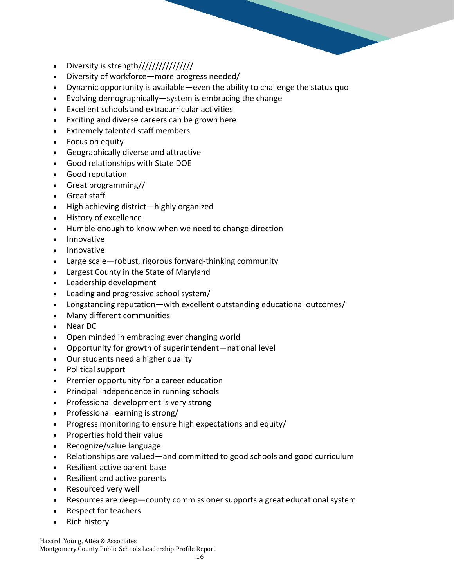

- Diversity is strength//////////////////
- Diversity of workforce—more progress needed/
- Dynamic opportunity is available—even the ability to challenge the status quo
- Evolving demographically—system is embracing the change
- Excellent schools and extracurricular activities
- Exciting and diverse careers can be grown here
- Extremely talented staff members
- Focus on equity
- Geographically diverse and attractive
- Good relationships with State DOE
- Good reputation
- Great programming//
- Great staff
- High achieving district—highly organized
- History of excellence
- Humble enough to know when we need to change direction
- Innovative
- Innovative
- Large scale—robust, rigorous forward-thinking community
- Largest County in the State of Maryland
- Leadership development
- Leading and progressive school system/
- Longstanding reputation—with excellent outstanding educational outcomes/
- Many different communities
- Near DC
- Open minded in embracing ever changing world
- Opportunity for growth of superintendent—national level
- Our students need a higher quality
- Political support
- Premier opportunity for a career education
- Principal independence in running schools
- Professional development is very strong
- Professional learning is strong/
- Progress monitoring to ensure high expectations and equity/
- Properties hold their value
- Recognize/value language
- Relationships are valued—and committed to good schools and good curriculum
- Resilient active parent base
- Resilient and active parents
- Resourced very well
- Resources are deep—county commissioner supports a great educational system
- Respect for teachers
- Rich history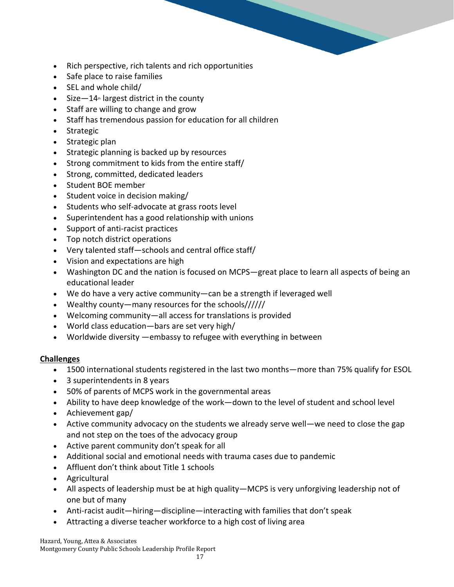- Rich perspective, rich talents and rich opportunities
- Safe place to raise families
- SEL and whole child/
- Size  $-14$ <sup>th</sup> largest district in the county
- Staff are willing to change and grow
- Staff has tremendous passion for education for all children
- Strategic
- Strategic plan
- Strategic planning is backed up by resources
- Strong commitment to kids from the entire staff/
- Strong, committed, dedicated leaders
- Student BOE member
- Student voice in decision making/
- Students who self-advocate at grass roots level
- Superintendent has a good relationship with unions
- Support of anti-racist practices
- Top notch district operations
- Very talented staff—schools and central office staff/
- Vision and expectations are high
- Washington DC and the nation is focused on MCPS—great place to learn all aspects of being an educational leader
- We do have a very active community—can be a strength if leveraged well
- Wealthy county—many resources for the schools//////
- Welcoming community—all access for translations is provided
- World class education—bars are set very high/
- Worldwide diversity —embassy to refugee with everything in between

### **Challenges**

- 1500 international students registered in the last two months—more than 75% qualify for ESOL
- 3 superintendents in 8 years
- 50% of parents of MCPS work in the governmental areas
- Ability to have deep knowledge of the work—down to the level of student and school level
- Achievement gap/
- Active community advocacy on the students we already serve well—we need to close the gap and not step on the toes of the advocacy group
- Active parent community don't speak for all
- Additional social and emotional needs with trauma cases due to pandemic
- Affluent don't think about Title 1 schools
- Agricultural
- All aspects of leadership must be at high quality—MCPS is very unforgiving leadership not of one but of many
- Anti-racist audit—hiring—discipline—interacting with families that don't speak
- Attracting a diverse teacher workforce to a high cost of living area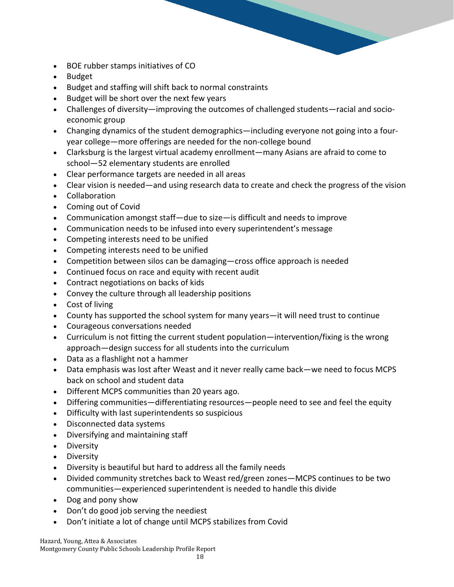- BOE rubber stamps initiatives of CO
- Budget
- Budget and staffing will shift back to normal constraints
- Budget will be short over the next few years
- Challenges of diversity—improving the outcomes of challenged students—racial and socioeconomic group
- Changing dynamics of the student demographics—including everyone not going into a fouryear college—more offerings are needed for the non-college bound
- Clarksburg is the largest virtual academy enrollment—many Asians are afraid to come to school—52 elementary students are enrolled
- Clear performance targets are needed in all areas
- Clear vision is needed—and using research data to create and check the progress of the vision
- Collaboration
- Coming out of Covid
- Communication amongst staff—due to size—is difficult and needs to improve
- Communication needs to be infused into every superintendent's message
- Competing interests need to be unified
- Competing interests need to be unified
- Competition between silos can be damaging—cross office approach is needed
- Continued focus on race and equity with recent audit
- Contract negotiations on backs of kids
- Convey the culture through all leadership positions
- Cost of living
- County has supported the school system for many years—it will need trust to continue
- Courageous conversations needed
- Curriculum is not fitting the current student population—intervention/fixing is the wrong approach—design success for all students into the curriculum
- Data as a flashlight not a hammer
- Data emphasis was lost after Weast and it never really came back—we need to focus MCPS back on school and student data
- Different MCPS communities than 20 years ago.
- Differing communities—differentiating resources—people need to see and feel the equity
- Difficulty with last superintendents so suspicious
- Disconnected data systems
- Diversifying and maintaining staff
- Diversity
- Diversity
- Diversity is beautiful but hard to address all the family needs
- Divided community stretches back to Weast red/green zones—MCPS continues to be two communities—experienced superintendent is needed to handle this divide
- Dog and pony show
- Don't do good job serving the neediest
- Don't initiate a lot of change until MCPS stabilizes from Covid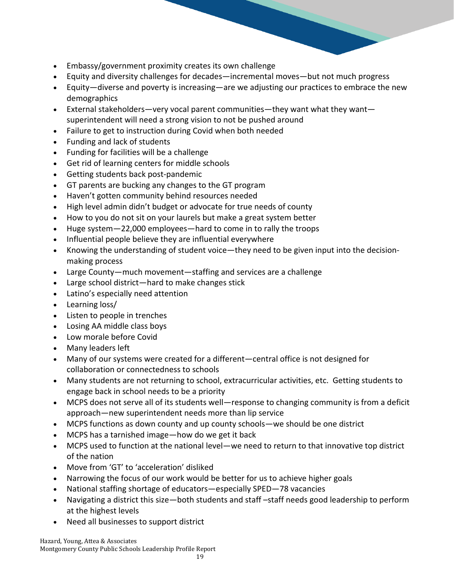- Embassy/government proximity creates its own challenge
- Equity and diversity challenges for decades—incremental moves—but not much progress
- Equity—diverse and poverty is increasing—are we adjusting our practices to embrace the new demographics
- External stakeholders—very vocal parent communities—they want what they want superintendent will need a strong vision to not be pushed around
- Failure to get to instruction during Covid when both needed
- Funding and lack of students
- Funding for facilities will be a challenge
- Get rid of learning centers for middle schools
- Getting students back post-pandemic
- GT parents are bucking any changes to the GT program
- Haven't gotten community behind resources needed
- High level admin didn't budget or advocate for true needs of county
- How to you do not sit on your laurels but make a great system better
- Huge system—22,000 employees—hard to come in to rally the troops
- Influential people believe they are influential everywhere
- Knowing the understanding of student voice—they need to be given input into the decisionmaking process
- Large County—much movement—staffing and services are a challenge
- Large school district—hard to make changes stick
- Latino's especially need attention
- Learning loss/
- Listen to people in trenches
- Losing AA middle class boys
- Low morale before Covid
- Many leaders left
- Many of our systems were created for a different—central office is not designed for collaboration or connectedness to schools
- Many students are not returning to school, extracurricular activities, etc. Getting students to engage back in school needs to be a priority
- MCPS does not serve all of its students well—response to changing community is from a deficit approach—new superintendent needs more than lip service
- MCPS functions as down county and up county schools—we should be one district
- MCPS has a tarnished image—how do we get it back
- MCPS used to function at the national level—we need to return to that innovative top district of the nation
- Move from 'GT' to 'acceleration' disliked
- Narrowing the focus of our work would be better for us to achieve higher goals
- National staffing shortage of educators—especially SPED—78 vacancies
- Navigating a district this size—both students and staff –staff needs good leadership to perform at the highest levels
- Need all businesses to support district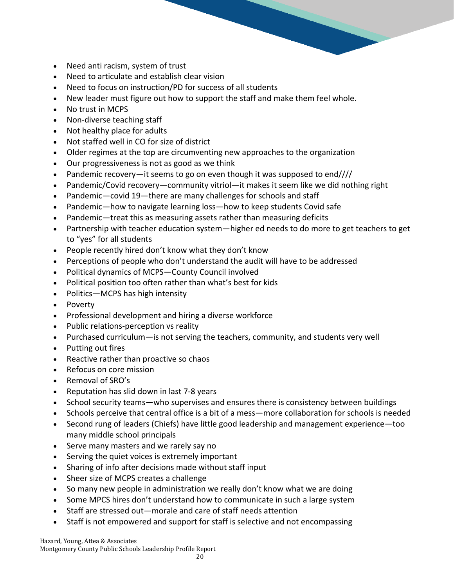- Need anti racism, system of trust
- Need to articulate and establish clear vision
- Need to focus on instruction/PD for success of all students
- New leader must figure out how to support the staff and make them feel whole.
- No trust in MCPS
- Non-diverse teaching staff
- Not healthy place for adults
- Not staffed well in CO for size of district
- Older regimes at the top are circumventing new approaches to the organization
- Our progressiveness is not as good as we think
- Pandemic recovery—it seems to go on even though it was supposed to end////
- Pandemic/Covid recovery—community vitriol—it makes it seem like we did nothing right
- Pandemic—covid 19—there are many challenges for schools and staff
- Pandemic—how to navigate learning loss—how to keep students Covid safe
- Pandemic—treat this as measuring assets rather than measuring deficits
- Partnership with teacher education system—higher ed needs to do more to get teachers to get to "yes" for all students
- People recently hired don't know what they don't know
- Perceptions of people who don't understand the audit will have to be addressed
- Political dynamics of MCPS—County Council involved
- Political position too often rather than what's best for kids
- Politics—MCPS has high intensity
- Poverty
- Professional development and hiring a diverse workforce
- Public relations-perception vs reality
- Purchased curriculum—is not serving the teachers, community, and students very well
- Putting out fires
- Reactive rather than proactive so chaos
- Refocus on core mission
- Removal of SRO's
- Reputation has slid down in last 7-8 years
- School security teams—who supervises and ensures there is consistency between buildings
- Schools perceive that central office is a bit of a mess—more collaboration for schools is needed
- Second rung of leaders (Chiefs) have little good leadership and management experience—too many middle school principals
- Serve many masters and we rarely say no
- Serving the quiet voices is extremely important
- Sharing of info after decisions made without staff input
- Sheer size of MCPS creates a challenge
- So many new people in administration we really don't know what we are doing
- Some MPCS hires don't understand how to communicate in such a large system
- Staff are stressed out—morale and care of staff needs attention
- Staff is not empowered and support for staff is selective and not encompassing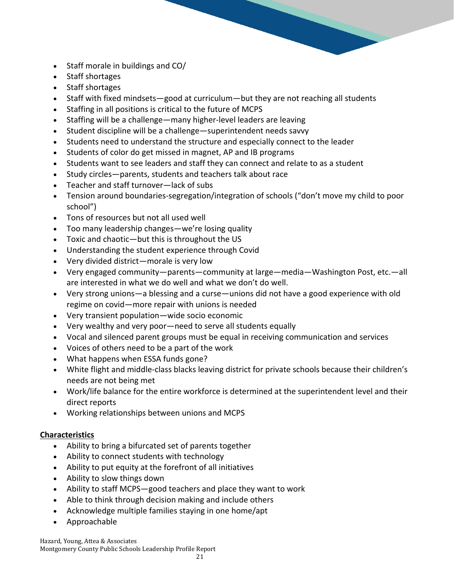- Staff morale in buildings and CO/
- Staff shortages
- Staff shortages
- Staff with fixed mindsets—good at curriculum—but they are not reaching all students
- Staffing in all positions is critical to the future of MCPS
- Staffing will be a challenge—many higher-level leaders are leaving
- Student discipline will be a challenge—superintendent needs savvy
- Students need to understand the structure and especially connect to the leader
- Students of color do get missed in magnet, AP and IB programs
- Students want to see leaders and staff they can connect and relate to as a student
- Study circles—parents, students and teachers talk about race
- Teacher and staff turnover—lack of subs
- Tension around boundaries-segregation/integration of schools ("don't move my child to poor school")
- Tons of resources but not all used well
- Too many leadership changes—we're losing quality
- Toxic and chaotic—but this is throughout the US
- Understanding the student experience through Covid
- Very divided district—morale is very low
- Very engaged community—parents—community at large—media—Washington Post, etc.—all are interested in what we do well and what we don't do well.
- Very strong unions—a blessing and a curse—unions did not have a good experience with old regime on covid—more repair with unions is needed
- Very transient population—wide socio economic
- Very wealthy and very poor—need to serve all students equally
- Vocal and silenced parent groups must be equal in receiving communication and services
- Voices of others need to be a part of the work
- What happens when ESSA funds gone?
- White flight and middle-class blacks leaving district for private schools because their children's needs are not being met
- Work/life balance for the entire workforce is determined at the superintendent level and their direct reports
- Working relationships between unions and MCPS

- Ability to bring a bifurcated set of parents together
- Ability to connect students with technology
- Ability to put equity at the forefront of all initiatives
- Ability to slow things down
- Ability to staff MCPS—good teachers and place they want to work
- Able to think through decision making and include others
- Acknowledge multiple families staying in one home/apt
- Approachable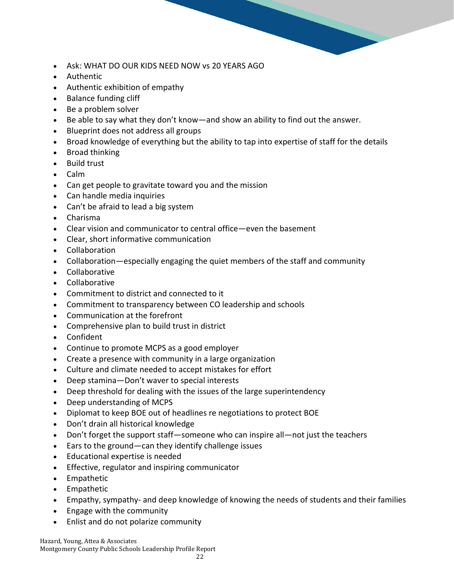- Ask: WHAT DO OUR KIDS NEED NOW vs 20 YEARS AGO
- Authentic
- Authentic exhibition of empathy
- Balance funding cliff
- Be a problem solver
- Be able to say what they don't know—and show an ability to find out the answer.
- Blueprint does not address all groups
- Broad knowledge of everything but the ability to tap into expertise of staff for the details
- Broad thinking
- Build trust
- Calm
- Can get people to gravitate toward you and the mission
- Can handle media inquiries
- Can't be afraid to lead a big system
- Charisma
- Clear vision and communicator to central office—even the basement
- Clear, short informative communication
- Collaboration
- Collaboration—especially engaging the quiet members of the staff and community
- Collaborative
- Collaborative
- Commitment to district and connected to it
- Commitment to transparency between CO leadership and schools
- Communication at the forefront
- Comprehensive plan to build trust in district
- Confident
- Continue to promote MCPS as a good employer
- Create a presence with community in a large organization
- Culture and climate needed to accept mistakes for effort
- Deep stamina—Don't waver to special interests
- Deep threshold for dealing with the issues of the large superintendency
- Deep understanding of MCPS
- Diplomat to keep BOE out of headlines re negotiations to protect BOE
- Don't drain all historical knowledge
- Don't forget the support staff—someone who can inspire all—not just the teachers
- Ears to the ground—can they identify challenge issues
- Educational expertise is needed
- Effective, regulator and inspiring communicator
- Empathetic
- Empathetic
- Empathy, sympathy- and deep knowledge of knowing the needs of students and their families
- Engage with the community
- Enlist and do not polarize community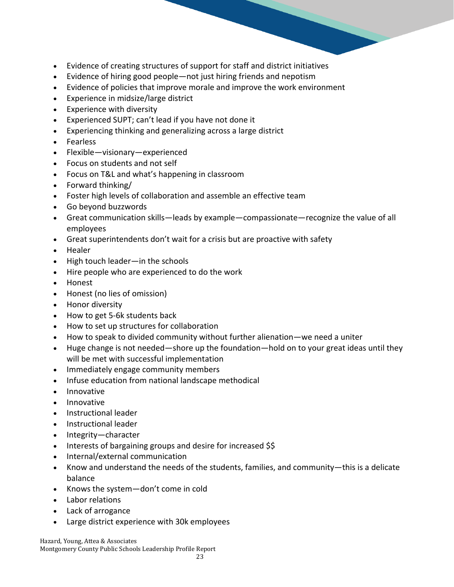- Evidence of creating structures of support for staff and district initiatives
- Evidence of hiring good people—not just hiring friends and nepotism
- Evidence of policies that improve morale and improve the work environment
- Experience in midsize/large district
- Experience with diversity
- Experienced SUPT; can't lead if you have not done it
- Experiencing thinking and generalizing across a large district
- Fearless
- Flexible—visionary—experienced
- Focus on students and not self
- Focus on T&L and what's happening in classroom
- Forward thinking/
- Foster high levels of collaboration and assemble an effective team
- Go beyond buzzwords
- Great communication skills—leads by example—compassionate—recognize the value of all employees
- Great superintendents don't wait for a crisis but are proactive with safety
- Healer
- High touch leader—in the schools
- Hire people who are experienced to do the work
- Honest
- Honest (no lies of omission)
- Honor diversity
- How to get 5-6k students back
- How to set up structures for collaboration
- How to speak to divided community without further alienation—we need a uniter
- Huge change is not needed—shore up the foundation—hold on to your great ideas until they will be met with successful implementation
- Immediately engage community members
- Infuse education from national landscape methodical
- Innovative
- Innovative
- Instructional leader
- Instructional leader
- Integrity—character
- Interests of bargaining groups and desire for increased \$\$
- Internal/external communication
- Know and understand the needs of the students, families, and community—this is a delicate balance
- Knows the system—don't come in cold
- Labor relations
- Lack of arrogance
- Large district experience with 30k employees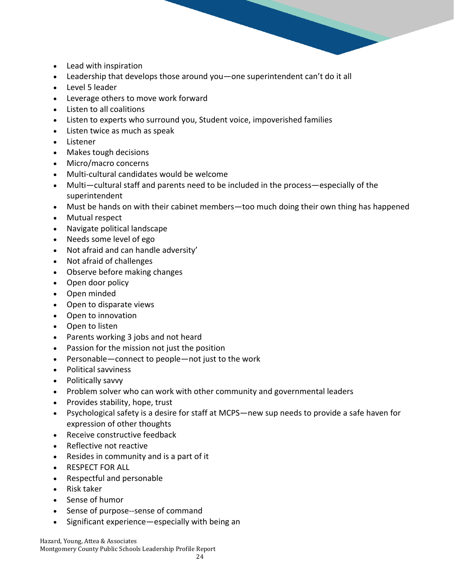- Lead with inspiration
- Leadership that develops those around you—one superintendent can't do it all
- Level 5 leader
- Leverage others to move work forward
- Listen to all coalitions
- Listen to experts who surround you, Student voice, impoverished families
- Listen twice as much as speak
- Listener
- Makes tough decisions
- Micro/macro concerns
- Multi-cultural candidates would be welcome
- Multi—cultural staff and parents need to be included in the process—especially of the superintendent
- Must be hands on with their cabinet members—too much doing their own thing has happened
- Mutual respect
- Navigate political landscape
- Needs some level of ego
- Not afraid and can handle adversity'
- Not afraid of challenges
- Observe before making changes
- Open door policy
- Open minded
- Open to disparate views
- Open to innovation
- Open to listen
- Parents working 3 jobs and not heard
- Passion for the mission not just the position
- Personable—connect to people—not just to the work
- Political savviness
- Politically savvy
- Problem solver who can work with other community and governmental leaders
- Provides stability, hope, trust
- Psychological safety is a desire for staff at MCPS—new sup needs to provide a safe haven for expression of other thoughts
- Receive constructive feedback
- Reflective not reactive
- Resides in community and is a part of it
- RESPECT FOR ALL
- Respectful and personable
- Risk taker
- Sense of humor
- Sense of purpose--sense of command
- Significant experience—especially with being an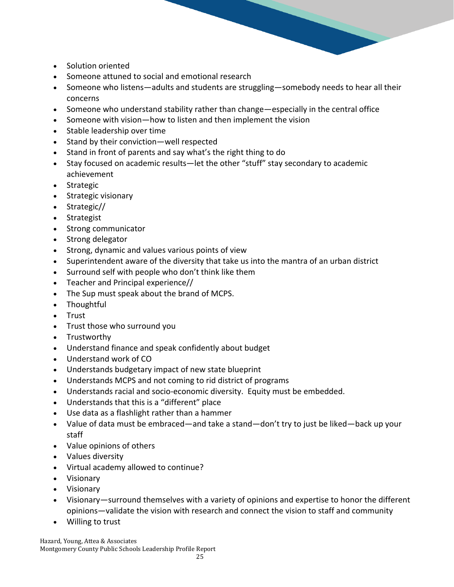- Solution oriented
- Someone attuned to social and emotional research
- Someone who listens—adults and students are struggling—somebody needs to hear all their concerns
- Someone who understand stability rather than change—especially in the central office
- Someone with vision—how to listen and then implement the vision
- Stable leadership over time
- Stand by their conviction—well respected
- Stand in front of parents and say what's the right thing to do
- Stay focused on academic results—let the other "stuff" stay secondary to academic achievement
- Strategic
- Strategic visionary
- Strategic//
- Strategist
- Strong communicator
- Strong delegator
- Strong, dynamic and values various points of view
- Superintendent aware of the diversity that take us into the mantra of an urban district
- Surround self with people who don't think like them
- Teacher and Principal experience//
- The Sup must speak about the brand of MCPS.
- Thoughtful
- Trust
- Trust those who surround you
- Trustworthy
- Understand finance and speak confidently about budget
- Understand work of CO
- Understands budgetary impact of new state blueprint
- Understands MCPS and not coming to rid district of programs
- Understands racial and socio-economic diversity. Equity must be embedded.
- Understands that this is a "different" place
- Use data as a flashlight rather than a hammer
- Value of data must be embraced—and take a stand—don't try to just be liked—back up your staff
- Value opinions of others
- Values diversity
- Virtual academy allowed to continue?
- Visionary
- Visionary
- Visionary—surround themselves with a variety of opinions and expertise to honor the different opinions—validate the vision with research and connect the vision to staff and community
- Willing to trust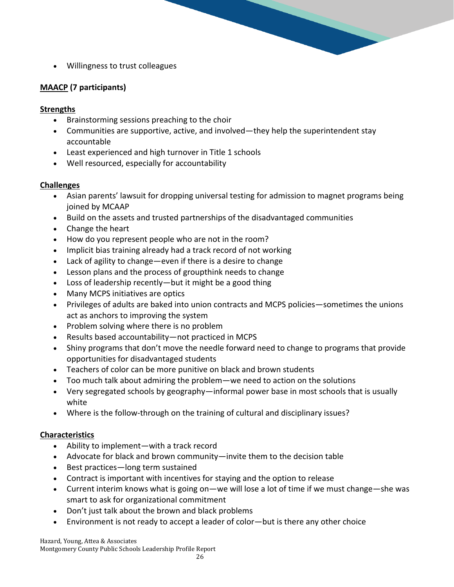• Willingness to trust colleagues

# **MAACP (7 participants)**

## **Strengths**

- Brainstorming sessions preaching to the choir
- Communities are supportive, active, and involved—they help the superintendent stay accountable
- Least experienced and high turnover in Title 1 schools
- Well resourced, especially for accountability

## **Challenges**

- Asian parents' lawsuit for dropping universal testing for admission to magnet programs being joined by MCAAP
- Build on the assets and trusted partnerships of the disadvantaged communities
- Change the heart
- How do you represent people who are not in the room?
- Implicit bias training already had a track record of not working
- Lack of agility to change—even if there is a desire to change
- Lesson plans and the process of groupthink needs to change
- Loss of leadership recently—but it might be a good thing
- Many MCPS initiatives are optics
- Privileges of adults are baked into union contracts and MCPS policies—sometimes the unions act as anchors to improving the system
- Problem solving where there is no problem
- Results based accountability—not practiced in MCPS
- Shiny programs that don't move the needle forward need to change to programs that provide opportunities for disadvantaged students
- Teachers of color can be more punitive on black and brown students
- Too much talk about admiring the problem—we need to action on the solutions
- Very segregated schools by geography—informal power base in most schools that is usually white
- Where is the follow-through on the training of cultural and disciplinary issues?

### **Characteristics**

- Ability to implement—with a track record
- Advocate for black and brown community—invite them to the decision table
- Best practices—long term sustained
- Contract is important with incentives for staying and the option to release
- Current interim knows what is going on—we will lose a lot of time if we must change—she was smart to ask for organizational commitment
- Don't just talk about the brown and black problems
- Environment is not ready to accept a leader of color—but is there any other choice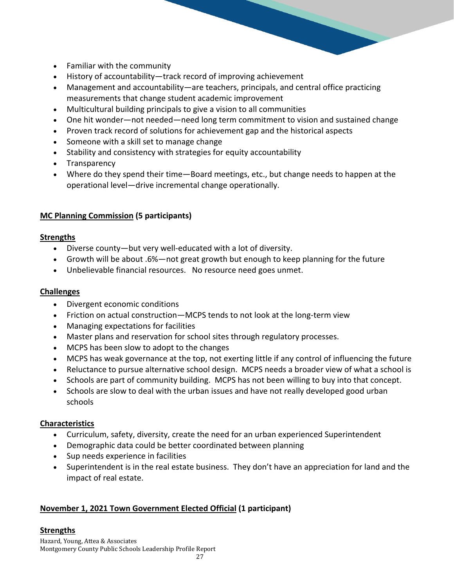- Familiar with the community
- History of accountability—track record of improving achievement
- Management and accountability—are teachers, principals, and central office practicing measurements that change student academic improvement
- Multicultural building principals to give a vision to all communities
- One hit wonder—not needed—need long term commitment to vision and sustained change
- Proven track record of solutions for achievement gap and the historical aspects
- Someone with a skill set to manage change
- Stability and consistency with strategies for equity accountability
- Transparency
- Where do they spend their time—Board meetings, etc., but change needs to happen at the operational level—drive incremental change operationally.

## **MC Planning Commission (5 participants)**

#### **Strengths**

- Diverse county—but very well-educated with a lot of diversity.
- Growth will be about .6%—not great growth but enough to keep planning for the future
- Unbelievable financial resources. No resource need goes unmet.

#### **Challenges**

- Divergent economic conditions
- Friction on actual construction—MCPS tends to not look at the long-term view
- Managing expectations for facilities
- Master plans and reservation for school sites through regulatory processes.
- MCPS has been slow to adopt to the changes
- MCPS has weak governance at the top, not exerting little if any control of influencing the future
- Reluctance to pursue alternative school design. MCPS needs a broader view of what a school is
- Schools are part of community building. MCPS has not been willing to buy into that concept.
- Schools are slow to deal with the urban issues and have not really developed good urban schools

### **Characteristics**

- Curriculum, safety, diversity, create the need for an urban experienced Superintendent
- Demographic data could be better coordinated between planning
- Sup needs experience in facilities
- Superintendent is in the real estate business. They don't have an appreciation for land and the impact of real estate.

### **November 1, 2021 Town Government Elected Official (1 participant)**

### **Strengths**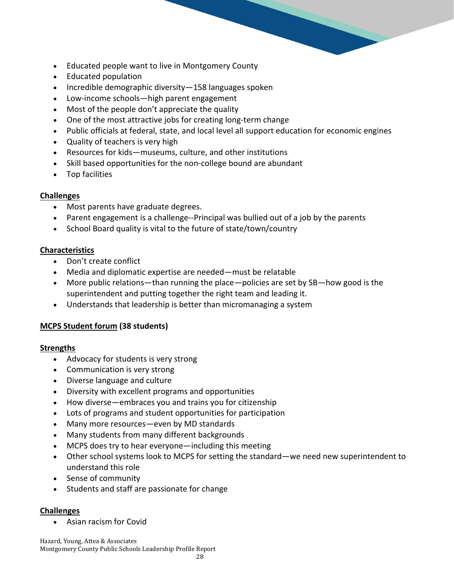- Educated people want to live in Montgomery County
- Educated population
- Incredible demographic diversity—158 languages spoken
- Low-income schools—high parent engagement
- Most of the people don't appreciate the quality
- One of the most attractive jobs for creating long-term change
- Public officials at federal, state, and local level all support education for economic engines
- Quality of teachers is very high
- Resources for kids—museums, culture, and other institutions
- Skill based opportunities for the non-college bound are abundant
- Top facilities

### **Challenges**

- Most parents have graduate degrees.
- Parent engagement is a challenge--Principal was bullied out of a job by the parents
- School Board quality is vital to the future of state/town/country

## **Characteristics**

- Don't create conflict
- Media and diplomatic expertise are needed—must be relatable
- More public relations—than running the place—policies are set by SB—how good is the superintendent and putting together the right team and leading it.
- Understands that leadership is better than micromanaging a system

# **MCPS Student forum (38 students)**

### **Strengths**

- Advocacy for students is very strong
- Communication is very strong
- Diverse language and culture
- Diversity with excellent programs and opportunities
- How diverse—embraces you and trains you for citizenship
- Lots of programs and student opportunities for participation
- Many more resources—even by MD standards
- Many students from many different backgrounds
- MCPS does try to hear everyone—including this meeting
- Other school systems look to MCPS for setting the standard—we need new superintendent to understand this role
- Sense of community
- Students and staff are passionate for change

### **Challenges**

• Asian racism for Covid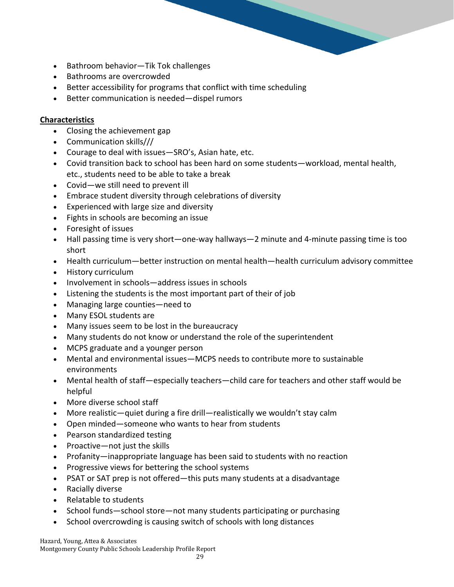- Bathroom behavior—Tik Tok challenges
- Bathrooms are overcrowded
- Better accessibility for programs that conflict with time scheduling
- Better communication is needed—dispel rumors

- Closing the achievement gap
- Communication skills///
- Courage to deal with issues—SRO's, Asian hate, etc.
- Covid transition back to school has been hard on some students—workload, mental health, etc., students need to be able to take a break
- Covid—we still need to prevent ill
- Embrace student diversity through celebrations of diversity
- Experienced with large size and diversity
- Fights in schools are becoming an issue
- Foresight of issues
- Hall passing time is very short—one-way hallways—2 minute and 4-minute passing time is too short
- Health curriculum—better instruction on mental health—health curriculum advisory committee
- History curriculum
- Involvement in schools—address issues in schools
- Listening the students is the most important part of their of job
- Managing large counties—need to
- Many ESOL students are
- Many issues seem to be lost in the bureaucracy
- Many students do not know or understand the role of the superintendent
- MCPS graduate and a younger person
- Mental and environmental issues—MCPS needs to contribute more to sustainable environments
- Mental health of staff—especially teachers—child care for teachers and other staff would be helpful
- More diverse school staff
- More realistic—quiet during a fire drill—realistically we wouldn't stay calm
- Open minded—someone who wants to hear from students
- Pearson standardized testing
- Proactive—not just the skills
- Profanity—inappropriate language has been said to students with no reaction
- Progressive views for bettering the school systems
- PSAT or SAT prep is not offered—this puts many students at a disadvantage
- Racially diverse
- Relatable to students
- School funds—school store—not many students participating or purchasing
- School overcrowding is causing switch of schools with long distances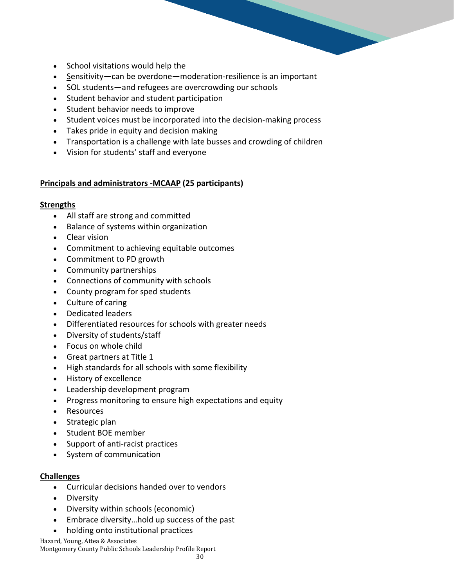- School visitations would help the
- Sensitivity—can be overdone—moderation-resilience is an important
- SOL students—and refugees are overcrowding our schools
- Student behavior and student participation
- Student behavior needs to improve
- Student voices must be incorporated into the decision-making process
- Takes pride in equity and decision making
- Transportation is a challenge with late busses and crowding of children
- Vision for students' staff and everyone

#### **Principals and administrators -MCAAP (25 participants)**

#### **Strengths**

- All staff are strong and committed
- Balance of systems within organization
- Clear vision
- Commitment to achieving equitable outcomes
- Commitment to PD growth
- Community partnerships
- Connections of community with schools
- County program for sped students
- Culture of caring
- Dedicated leaders
- Differentiated resources for schools with greater needs
- Diversity of students/staff
- Focus on whole child
- Great partners at Title 1
- High standards for all schools with some flexibility
- History of excellence
- Leadership development program
- Progress monitoring to ensure high expectations and equity
- Resources
- Strategic plan
- Student BOE member
- Support of anti-racist practices
- System of communication

#### **Challenges**

- Curricular decisions handed over to vendors
- Diversity
- Diversity within schools (economic)
- Embrace diversity…hold up success of the past
- holding onto institutional practices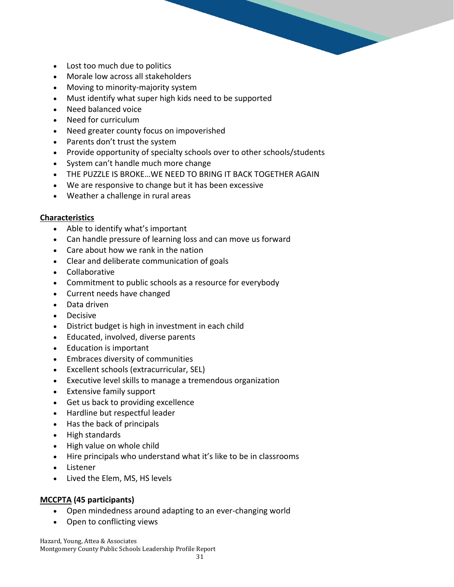- Lost too much due to politics
- Morale low across all stakeholders
- Moving to minority-majority system
- Must identify what super high kids need to be supported
- Need balanced voice
- Need for curriculum
- Need greater county focus on impoverished
- Parents don't trust the system
- Provide opportunity of specialty schools over to other schools/students
- System can't handle much more change
- THE PUZZLE IS BROKE…WE NEED TO BRING IT BACK TOGETHER AGAIN
- We are responsive to change but it has been excessive
- Weather a challenge in rural areas

- Able to identify what's important
- Can handle pressure of learning loss and can move us forward
- Care about how we rank in the nation
- Clear and deliberate communication of goals
- Collaborative
- Commitment to public schools as a resource for everybody
- Current needs have changed
- Data driven
- Decisive
- District budget is high in investment in each child
- Educated, involved, diverse parents
- Education is important
- Embraces diversity of communities
- Excellent schools (extracurricular, SEL)
- Executive level skills to manage a tremendous organization
- Extensive family support
- Get us back to providing excellence
- Hardline but respectful leader
- Has the back of principals
- High standards
- High value on whole child
- Hire principals who understand what it's like to be in classrooms
- Listener
- Lived the Elem, MS, HS levels

#### **MCCPTA (45 participants)**

- Open mindedness around adapting to an ever-changing world
- Open to conflicting views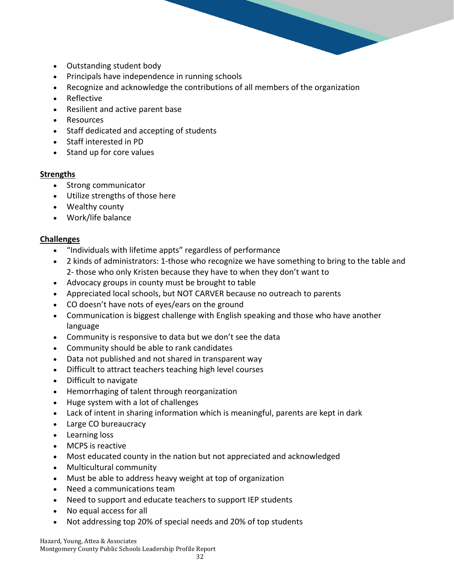

- Outstanding student body
- Principals have independence in running schools
- Recognize and acknowledge the contributions of all members of the organization
- Reflective
- Resilient and active parent base
- Resources
- Staff dedicated and accepting of students
- Staff interested in PD
- Stand up for core values

#### **Strengths**

- Strong communicator
- Utilize strengths of those here
- Wealthy county
- Work/life balance

#### **Challenges**

- "Individuals with lifetime appts" regardless of performance
- 2 kinds of administrators: 1-those who recognize we have something to bring to the table and 2- those who only Kristen because they have to when they don't want to
- Advocacy groups in county must be brought to table
- Appreciated local schools, but NOT CARVER because no outreach to parents
- CO doesn't have nots of eyes/ears on the ground
- Communication is biggest challenge with English speaking and those who have another language
- Community is responsive to data but we don't see the data
- Community should be able to rank candidates
- Data not published and not shared in transparent way
- Difficult to attract teachers teaching high level courses
- Difficult to navigate
- Hemorrhaging of talent through reorganization
- Huge system with a lot of challenges
- Lack of intent in sharing information which is meaningful, parents are kept in dark
- Large CO bureaucracy
- Learning loss
- MCPS is reactive
- Most educated county in the nation but not appreciated and acknowledged
- Multicultural community
- Must be able to address heavy weight at top of organization
- Need a communications team
- Need to support and educate teachers to support IEP students
- No equal access for all
- Not addressing top 20% of special needs and 20% of top students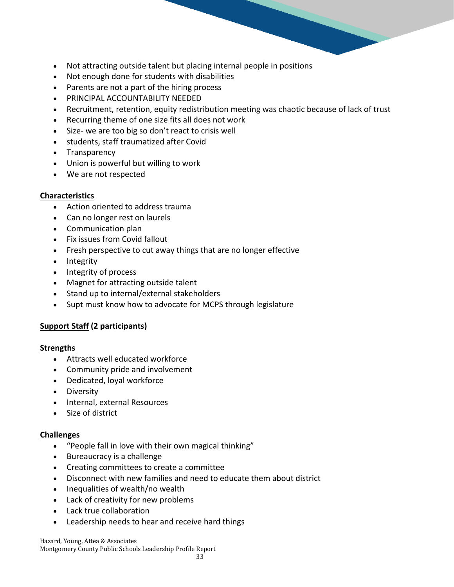- Not attracting outside talent but placing internal people in positions
- Not enough done for students with disabilities
- Parents are not a part of the hiring process
- PRINCIPAL ACCOUNTABILITY NEEDED
- Recruitment, retention, equity redistribution meeting was chaotic because of lack of trust
- Recurring theme of one size fits all does not work
- Size- we are too big so don't react to crisis well
- students, staff traumatized after Covid
- Transparency
- Union is powerful but willing to work
- We are not respected

- Action oriented to address trauma
- Can no longer rest on laurels
- Communication plan
- Fix issues from Covid fallout
- Fresh perspective to cut away things that are no longer effective
- Integrity
- Integrity of process
- Magnet for attracting outside talent
- Stand up to internal/external stakeholders
- Supt must know how to advocate for MCPS through legislature

# **Support Staff (2 participants)**

### **Strengths**

- Attracts well educated workforce
- Community pride and involvement
- Dedicated, loyal workforce
- Diversity
- Internal, external Resources
- Size of district

### **Challenges**

- "People fall in love with their own magical thinking"
- Bureaucracy is a challenge
- Creating committees to create a committee
- Disconnect with new families and need to educate them about district
- Inequalities of wealth/no wealth
- Lack of creativity for new problems
- Lack true collaboration
- Leadership needs to hear and receive hard things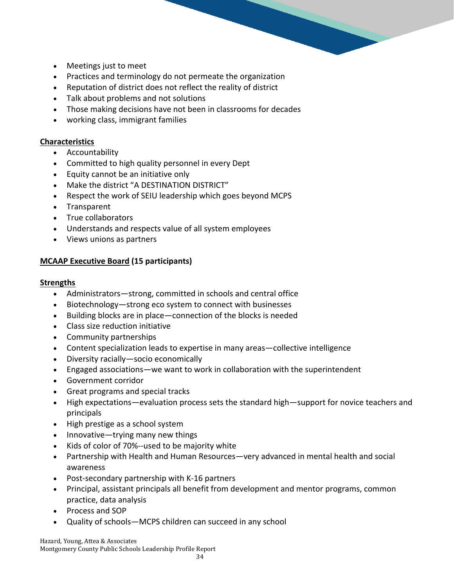- Meetings just to meet
- Practices and terminology do not permeate the organization
- Reputation of district does not reflect the reality of district
- Talk about problems and not solutions
- Those making decisions have not been in classrooms for decades
- working class, immigrant families

- Accountability
- Committed to high quality personnel in every Dept
- Equity cannot be an initiative only
- Make the district "A DESTINATION DISTRICT"
- Respect the work of SEIU leadership which goes beyond MCPS
- Transparent
- True collaborators
- Understands and respects value of all system employees
- Views unions as partners

### **MCAAP Executive Board (15 participants)**

#### **Strengths**

- Administrators—strong, committed in schools and central office
- Biotechnology—strong eco system to connect with businesses
- Building blocks are in place—connection of the blocks is needed
- Class size reduction initiative
- Community partnerships
- Content specialization leads to expertise in many areas—collective intelligence
- Diversity racially—socio economically
- Engaged associations—we want to work in collaboration with the superintendent
- Government corridor
- Great programs and special tracks
- High expectations—evaluation process sets the standard high—support for novice teachers and principals
- High prestige as a school system
- Innovative—trying many new things
- Kids of color of 70%--used to be majority white
- Partnership with Health and Human Resources—very advanced in mental health and social awareness
- Post-secondary partnership with K-16 partners
- Principal, assistant principals all benefit from development and mentor programs, common practice, data analysis
- Process and SOP
- Quality of schools—MCPS children can succeed in any school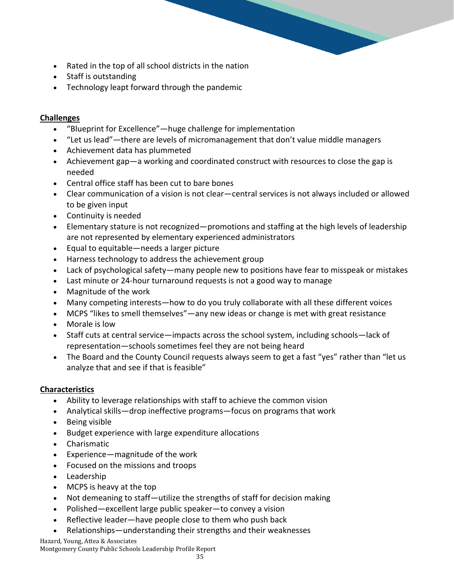- Rated in the top of all school districts in the nation
- Staff is outstanding
- Technology leapt forward through the pandemic

# **Challenges**

- "Blueprint for Excellence"—huge challenge for implementation
- "Let us lead"—there are levels of micromanagement that don't value middle managers
- Achievement data has plummeted
- Achievement gap—a working and coordinated construct with resources to close the gap is needed
- Central office staff has been cut to bare bones
- Clear communication of a vision is not clear—central services is not always included or allowed to be given input
- Continuity is needed
- Elementary stature is not recognized—promotions and staffing at the high levels of leadership are not represented by elementary experienced administrators
- Equal to equitable—needs a larger picture
- Harness technology to address the achievement group
- Lack of psychological safety—many people new to positions have fear to misspeak or mistakes
- Last minute or 24-hour turnaround requests is not a good way to manage
- Magnitude of the work
- Many competing interests—how to do you truly collaborate with all these different voices
- MCPS "likes to smell themselves"—any new ideas or change is met with great resistance
- Morale is low
- Staff cuts at central service—impacts across the school system, including schools—lack of representation—schools sometimes feel they are not being heard
- The Board and the County Council requests always seem to get a fast "yes" rather than "let us analyze that and see if that is feasible"

# **Characteristics**

- Ability to leverage relationships with staff to achieve the common vision
- Analytical skills—drop ineffective programs—focus on programs that work
- Being visible
- Budget experience with large expenditure allocations
- Charismatic
- Experience—magnitude of the work
- Focused on the missions and troops
- Leadership
- MCPS is heavy at the top
- Not demeaning to staff—utilize the strengths of staff for decision making
- Polished—excellent large public speaker—to convey a vision
- Reflective leader—have people close to them who push back
- Relationships—understanding their strengths and their weaknesses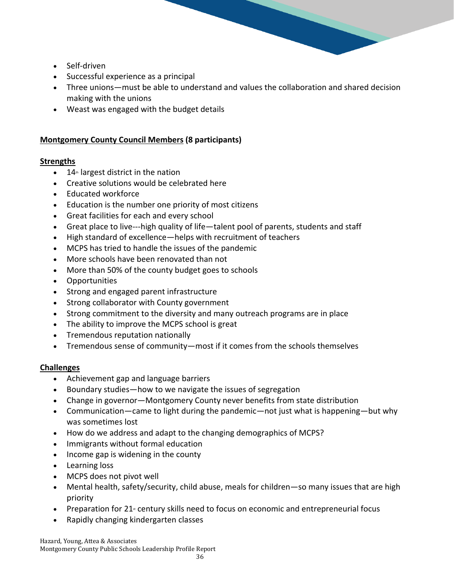- Self-driven
- Successful experience as a principal
- Three unions—must be able to understand and values the collaboration and shared decision making with the unions
- Weast was engaged with the budget details

### **Montgomery County Council Members (8 participants)**

#### **Strengths**

- $\bullet$  14<sup>th</sup> largest district in the nation
- Creative solutions would be celebrated here
- Educated workforce
- Education is the number one priority of most citizens
- Great facilities for each and every school
- Great place to live---high quality of life—talent pool of parents, students and staff
- High standard of excellence—helps with recruitment of teachers
- MCPS has tried to handle the issues of the pandemic
- More schools have been renovated than not
- More than 50% of the county budget goes to schools
- Opportunities
- Strong and engaged parent infrastructure
- Strong collaborator with County government
- Strong commitment to the diversity and many outreach programs are in place
- The ability to improve the MCPS school is great
- Tremendous reputation nationally
- Tremendous sense of community—most if it comes from the schools themselves

### **Challenges**

- Achievement gap and language barriers
- Boundary studies—how to we navigate the issues of segregation
- Change in governor—Montgomery County never benefits from state distribution
- Communication—came to light during the pandemic—not just what is happening—but why was sometimes lost
- How do we address and adapt to the changing demographics of MCPS?
- Immigrants without formal education
- Income gap is widening in the county
- Learning loss
- MCPS does not pivot well
- Mental health, safety/security, child abuse, meals for children—so many issues that are high priority
- Preparation for 21 $<sub>st</sub>$  century skills need to focus on economic and entrepreneurial focus</sub>
- Rapidly changing kindergarten classes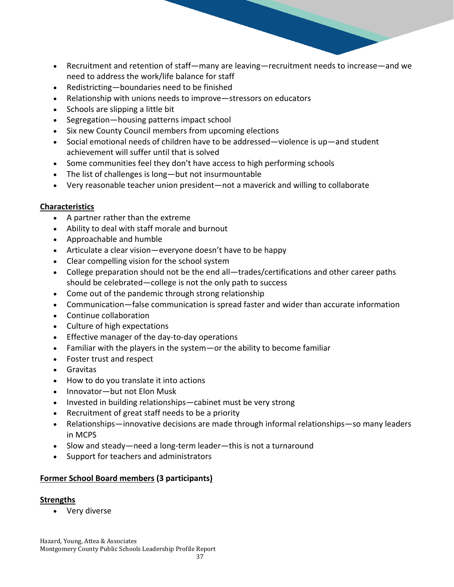- Recruitment and retention of staff—many are leaving—recruitment needs to increase—and we need to address the work/life balance for staff
- Redistricting—boundaries need to be finished
- Relationship with unions needs to improve—stressors on educators
- Schools are slipping a little bit
- Segregation—housing patterns impact school
- Six new County Council members from upcoming elections
- Social emotional needs of children have to be addressed—violence is up—and student achievement will suffer until that is solved
- Some communities feel they don't have access to high performing schools
- The list of challenges is long—but not insurmountable
- Very reasonable teacher union president—not a maverick and willing to collaborate

- A partner rather than the extreme
- Ability to deal with staff morale and burnout
- Approachable and humble
- Articulate a clear vision—everyone doesn't have to be happy
- Clear compelling vision for the school system
- College preparation should not be the end all—trades/certifications and other career paths should be celebrated—college is not the only path to success
- Come out of the pandemic through strong relationship
- Communication—false communication is spread faster and wider than accurate information
- Continue collaboration
- Culture of high expectations
- Effective manager of the day-to-day operations
- Familiar with the players in the system—or the ability to become familiar
- Foster trust and respect
- Gravitas
- How to do you translate it into actions
- Innovator—but not Elon Musk
- Invested in building relationships—cabinet must be very strong
- Recruitment of great staff needs to be a priority
- Relationships—innovative decisions are made through informal relationships—so many leaders in MCPS
- Slow and steady—need a long-term leader—this is not a turnaround
- Support for teachers and administrators

### **Former School Board members (3 participants)**

### **Strengths**

Very diverse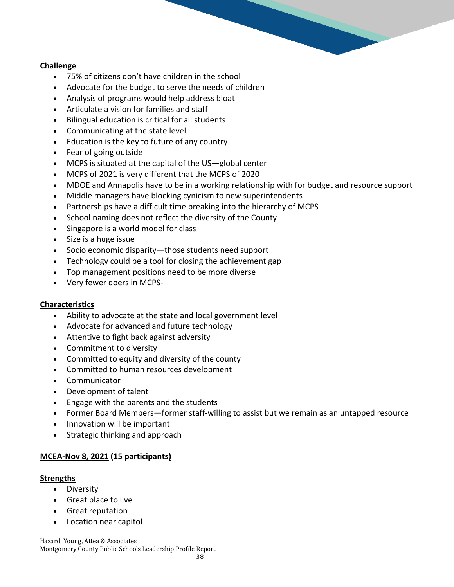#### **Challenge**

- 75% of citizens don't have children in the school
- Advocate for the budget to serve the needs of children
- Analysis of programs would help address bloat
- Articulate a vision for families and staff
- Bilingual education is critical for all students
- Communicating at the state level
- Education is the key to future of any country
- Fear of going outside
- MCPS is situated at the capital of the US—global center
- MCPS of 2021 is very different that the MCPS of 2020
- MDOE and Annapolis have to be in a working relationship with for budget and resource support
- Middle managers have blocking cynicism to new superintendents
- Partnerships have a difficult time breaking into the hierarchy of MCPS
- School naming does not reflect the diversity of the County
- Singapore is a world model for class
- Size is a huge issue
- Socio economic disparity—those students need support
- Technology could be a tool for closing the achievement gap
- Top management positions need to be more diverse
- Very fewer doers in MCPS-

#### **Characteristics**

- Ability to advocate at the state and local government level
- Advocate for advanced and future technology
- Attentive to fight back against adversity
- Commitment to diversity
- Committed to equity and diversity of the county
- Committed to human resources development
- Communicator
- Development of talent
- Engage with the parents and the students
- Former Board Members—former staff-willing to assist but we remain as an untapped resource
- Innovation will be important
- Strategic thinking and approach

### **MCEA-Nov 8, 2021 (15 participants)**

#### **Strengths**

- Diversity
- Great place to live
- Great reputation
- Location near capitol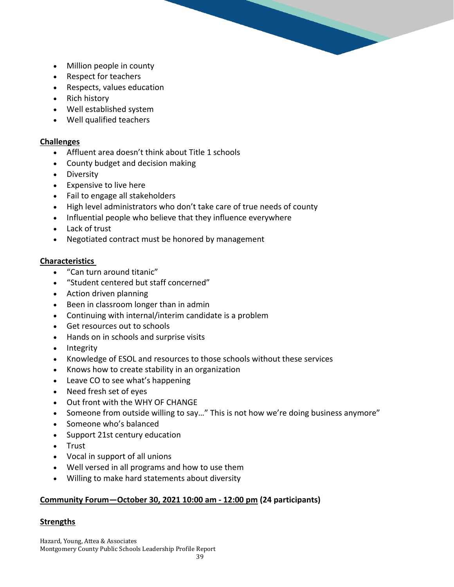- Million people in county
- Respect for teachers
- Respects, values education
- Rich history
- Well established system
- Well qualified teachers

#### **Challenges**

- Affluent area doesn't think about Title 1 schools
- County budget and decision making
- Diversity
- Expensive to live here
- Fail to engage all stakeholders
- High level administrators who don't take care of true needs of county
- Influential people who believe that they influence everywhere
- Lack of trust
- Negotiated contract must be honored by management

#### **Characteristics**

- "Can turn around titanic"
- "Student centered but staff concerned"
- Action driven planning
- Been in classroom longer than in admin
- Continuing with internal/interim candidate is a problem
- Get resources out to schools
- Hands on in schools and surprise visits
- Integrity
- Knowledge of ESOL and resources to those schools without these services
- Knows how to create stability in an organization
- Leave CO to see what's happening
- Need fresh set of eyes
- Out front with the WHY OF CHANGE
- Someone from outside willing to say…" This is not how we're doing business anymore"
- Someone who's balanced
- Support 21st century education
- Trust
- Vocal in support of all unions
- Well versed in all programs and how to use them
- Willing to make hard statements about diversity

### **Community Forum—October 30, 2021 10:00 am - 12:00 pm (24 participants)**

### **Strengths**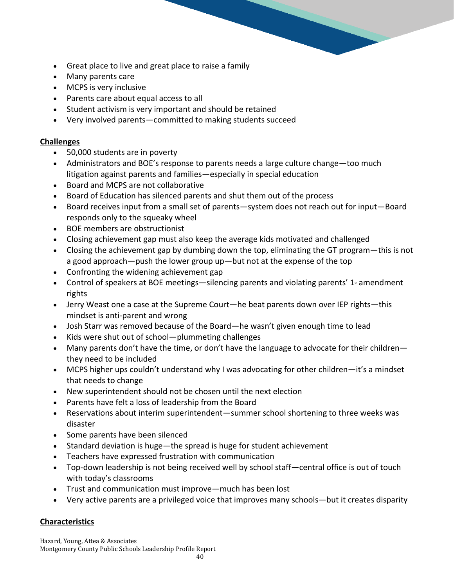- Great place to live and great place to raise a family
- Many parents care
- MCPS is very inclusive
- Parents care about equal access to all
- Student activism is very important and should be retained
- Very involved parents—committed to making students succeed

#### **Challenges**

- 50,000 students are in poverty
- Administrators and BOE's response to parents needs a large culture change—too much litigation against parents and families—especially in special education
- Board and MCPS are not collaborative
- Board of Education has silenced parents and shut them out of the process
- Board receives input from a small set of parents—system does not reach out for input—Board responds only to the squeaky wheel
- BOE members are obstructionist
- Closing achievement gap must also keep the average kids motivated and challenged
- Closing the achievement gap by dumbing down the top, eliminating the GT program—this is not a good approach—push the lower group up—but not at the expense of the top
- Confronting the widening achievement gap
- Control of speakers at BOE meetings—silencing parents and violating parents'  $1<sup>*</sup>$  amendment rights
- Jerry Weast one a case at the Supreme Court—he beat parents down over IEP rights—this mindset is anti-parent and wrong
- Josh Starr was removed because of the Board—he wasn't given enough time to lead
- Kids were shut out of school—plummeting challenges
- Many parents don't have the time, or don't have the language to advocate for their children they need to be included
- MCPS higher ups couldn't understand why I was advocating for other children—it's a mindset that needs to change
- New superintendent should not be chosen until the next election
- Parents have felt a loss of leadership from the Board
- Reservations about interim superintendent—summer school shortening to three weeks was disaster
- Some parents have been silenced
- Standard deviation is huge—the spread is huge for student achievement
- Teachers have expressed frustration with communication
- Top-down leadership is not being received well by school staff—central office is out of touch with today's classrooms
- Trust and communication must improve—much has been lost
- Very active parents are a privileged voice that improves many schools—but it creates disparity

### **Characteristics**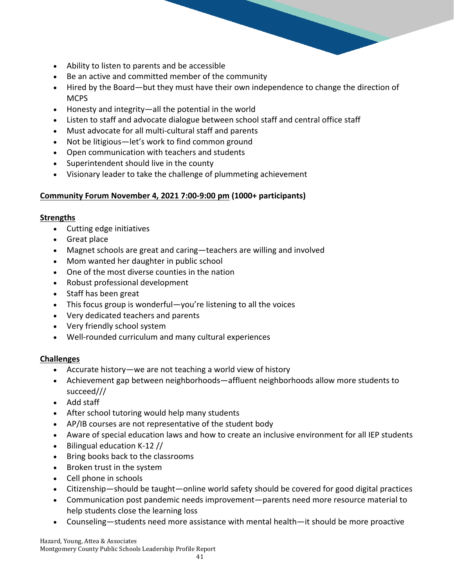- Ability to listen to parents and be accessible
- Be an active and committed member of the community
- Hired by the Board—but they must have their own independence to change the direction of **MCPS**
- Honesty and integrity—all the potential in the world
- Listen to staff and advocate dialogue between school staff and central office staff
- Must advocate for all multi-cultural staff and parents
- Not be litigious—let's work to find common ground
- Open communication with teachers and students
- Superintendent should live in the county
- Visionary leader to take the challenge of plummeting achievement

### **Community Forum November 4, 2021 7:00-9:00 pm (1000+ participants)**

#### **Strengths**

- Cutting edge initiatives
- Great place
- Magnet schools are great and caring—teachers are willing and involved
- Mom wanted her daughter in public school
- One of the most diverse counties in the nation
- Robust professional development
- Staff has been great
- This focus group is wonderful—you're listening to all the voices
- Very dedicated teachers and parents
- Very friendly school system
- Well-rounded curriculum and many cultural experiences

### **Challenges**

- Accurate history—we are not teaching a world view of history
- Achievement gap between neighborhoods—affluent neighborhoods allow more students to succeed///
- Add staff
- After school tutoring would help many students
- AP/IB courses are not representative of the student body
- Aware of special education laws and how to create an inclusive environment for all IEP students
- Bilingual education K-12 //
- Bring books back to the classrooms
- Broken trust in the system
- Cell phone in schools
- Citizenship—should be taught—online world safety should be covered for good digital practices
- Communication post pandemic needs improvement—parents need more resource material to help students close the learning loss
- Counseling—students need more assistance with mental health—it should be more proactive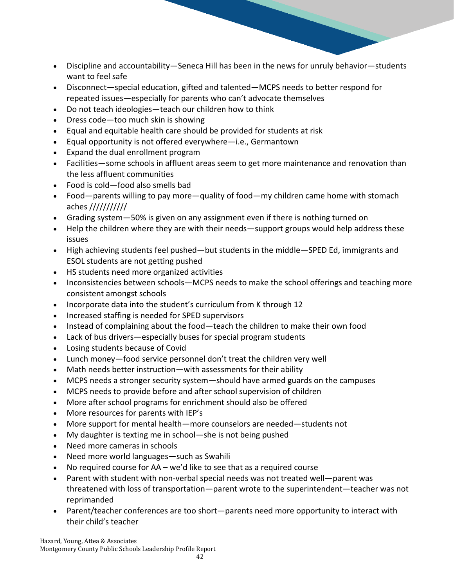- Discipline and accountability—Seneca Hill has been in the news for unruly behavior—students want to feel safe
- Disconnect—special education, gifted and talented—MCPS needs to better respond for repeated issues—especially for parents who can't advocate themselves
- Do not teach ideologies—teach our children how to think
- Dress code—too much skin is showing
- Equal and equitable health care should be provided for students at risk
- Equal opportunity is not offered everywhere—i.e., Germantown
- Expand the dual enrollment program
- Facilities—some schools in affluent areas seem to get more maintenance and renovation than the less affluent communities
- Food is cold—food also smells bad
- Food—parents willing to pay more—quality of food—my children came home with stomach aches ///////////
- Grading system—50% is given on any assignment even if there is nothing turned on
- Help the children where they are with their needs—support groups would help address these issues
- High achieving students feel pushed—but students in the middle—SPED Ed, immigrants and ESOL students are not getting pushed
- HS students need more organized activities
- Inconsistencies between schools—MCPS needs to make the school offerings and teaching more consistent amongst schools
- Incorporate data into the student's curriculum from K through 12
- Increased staffing is needed for SPED supervisors
- Instead of complaining about the food—teach the children to make their own food
- Lack of bus drivers—especially buses for special program students
- Losing students because of Covid
- Lunch money—food service personnel don't treat the children very well
- Math needs better instruction—with assessments for their ability
- MCPS needs a stronger security system—should have armed guards on the campuses
- MCPS needs to provide before and after school supervision of children
- More after school programs for enrichment should also be offered
- More resources for parents with IEP's
- More support for mental health—more counselors are needed—students not
- My daughter is texting me in school—she is not being pushed
- Need more cameras in schools
- Need more world languages—such as Swahili
- No required course for AA we'd like to see that as a required course
- Parent with student with non-verbal special needs was not treated well—parent was threatened with loss of transportation—parent wrote to the superintendent—teacher was not reprimanded
- Parent/teacher conferences are too short—parents need more opportunity to interact with their child's teacher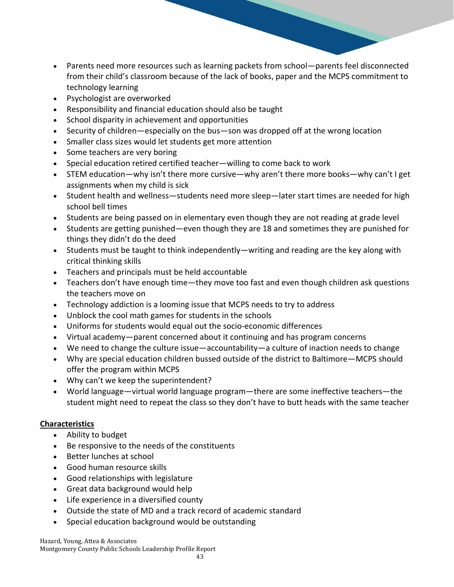- Parents need more resources such as learning packets from school—parents feel disconnected from their child's classroom because of the lack of books, paper and the MCPS commitment to technology learning
- Psychologist are overworked
- Responsibility and financial education should also be taught
- School disparity in achievement and opportunities
- Security of children—especially on the bus—son was dropped off at the wrong location
- Smaller class sizes would let students get more attention
- Some teachers are very boring
- Special education retired certified teacher—willing to come back to work
- STEM education—why isn't there more cursive—why aren't there more books—why can't I get assignments when my child is sick
- Student health and wellness—students need more sleep—later start times are needed for high school bell times
- Students are being passed on in elementary even though they are not reading at grade level
- Students are getting punished—even though they are 18 and sometimes they are punished for things they didn't do the deed
- Students must be taught to think independently—writing and reading are the key along with critical thinking skills
- Teachers and principals must be held accountable
- Teachers don't have enough time—they move too fast and even though children ask questions the teachers move on
- Technology addiction is a looming issue that MCPS needs to try to address
- Unblock the cool math games for students in the schools
- Uniforms for students would equal out the socio-economic differences
- Virtual academy—parent concerned about it continuing and has program concerns
- We need to change the culture issue—accountability—a culture of inaction needs to change
- Why are special education children bussed outside of the district to Baltimore—MCPS should offer the program within MCPS
- Why can't we keep the superintendent?
- World language—virtual world language program—there are some ineffective teachers—the student might need to repeat the class so they don't have to butt heads with the same teacher

- Ability to budget
- Be responsive to the needs of the constituents
- Better lunches at school
- Good human resource skills
- Good relationships with legislature
- Great data background would help
- Life experience in a diversified county
- Outside the state of MD and a track record of academic standard
- Special education background would be outstanding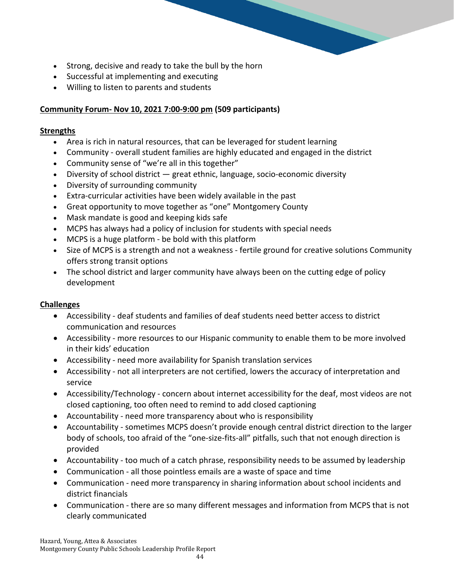- Strong, decisive and ready to take the bull by the horn
- Successful at implementing and executing
- Willing to listen to parents and students

# **Community Forum- Nov 10, 2021 7:00-9:00 pm (509 participants)**

# **Strengths**

- Area is rich in natural resources, that can be leveraged for student learning
- Community overall student families are highly educated and engaged in the district
- Community sense of "we're all in this together"
- Diversity of school district great ethnic, language, socio-economic diversity
- Diversity of surrounding community
- Extra-curricular activities have been widely available in the past
- Great opportunity to move together as "one" Montgomery County
- Mask mandate is good and keeping kids safe
- MCPS has always had a policy of inclusion for students with special needs
- MCPS is a huge platform be bold with this platform
- Size of MCPS is a strength and not a weakness fertile ground for creative solutions Community offers strong transit options
- The school district and larger community have always been on the cutting edge of policy development

# **Challenges**

- Accessibility deaf students and families of deaf students need better access to district communication and resources
- Accessibility more resources to our Hispanic community to enable them to be more involved in their kids' education
- Accessibility need more availability for Spanish translation services
- Accessibility not all interpreters are not certified, lowers the accuracy of interpretation and service
- Accessibility/Technology concern about internet accessibility for the deaf, most videos are not closed captioning, too often need to remind to add closed captioning
- Accountability need more transparency about who is responsibility
- Accountability sometimes MCPS doesn't provide enough central district direction to the larger body of schools, too afraid of the "one-size-fits-all" pitfalls, such that not enough direction is provided
- Accountability too much of a catch phrase, responsibility needs to be assumed by leadership
- Communication all those pointless emails are a waste of space and time
- Communication need more transparency in sharing information about school incidents and district financials
- Communication there are so many different messages and information from MCPS that is not clearly communicated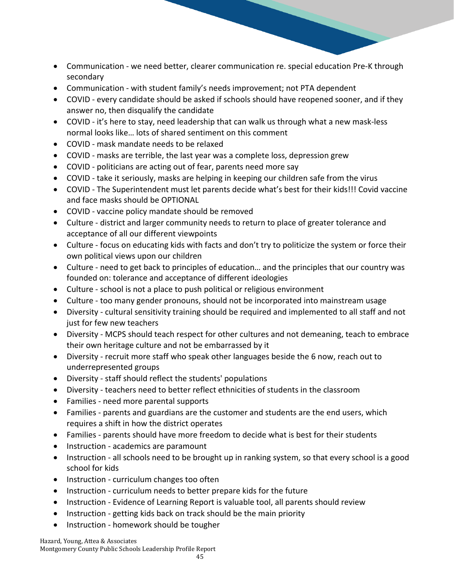- Communication we need better, clearer communication re. special education Pre-K through secondary
- Communication with student family's needs improvement; not PTA dependent
- COVID every candidate should be asked if schools should have reopened sooner, and if they answer no, then disqualify the candidate
- COVID it's here to stay, need leadership that can walk us through what a new mask-less normal looks like… lots of shared sentiment on this comment
- COVID mask mandate needs to be relaxed
- COVID masks are terrible, the last year was a complete loss, depression grew
- COVID politicians are acting out of fear, parents need more say
- COVID take it seriously, masks are helping in keeping our children safe from the virus
- COVID The Superintendent must let parents decide what's best for their kids!!! Covid vaccine and face masks should be OPTIONAL
- COVID vaccine policy mandate should be removed
- Culture district and larger community needs to return to place of greater tolerance and acceptance of all our different viewpoints
- Culture focus on educating kids with facts and don't try to politicize the system or force their own political views upon our children
- Culture need to get back to principles of education… and the principles that our country was founded on: tolerance and acceptance of different ideologies
- Culture school is not a place to push political or religious environment
- Culture too many gender pronouns, should not be incorporated into mainstream usage
- Diversity cultural sensitivity training should be required and implemented to all staff and not just for few new teachers
- Diversity MCPS should teach respect for other cultures and not demeaning, teach to embrace their own heritage culture and not be embarrassed by it
- Diversity recruit more staff who speak other languages beside the 6 now, reach out to underrepresented groups
- Diversity staff should reflect the students' populations
- Diversity teachers need to better reflect ethnicities of students in the classroom
- Families need more parental supports
- Families parents and guardians are the customer and students are the end users, which requires a shift in how the district operates
- Families parents should have more freedom to decide what is best for their students
- Instruction academics are paramount
- Instruction all schools need to be brought up in ranking system, so that every school is a good school for kids
- Instruction curriculum changes too often
- Instruction curriculum needs to better prepare kids for the future
- Instruction Evidence of Learning Report is valuable tool, all parents should review
- Instruction getting kids back on track should be the main priority
- Instruction homework should be tougher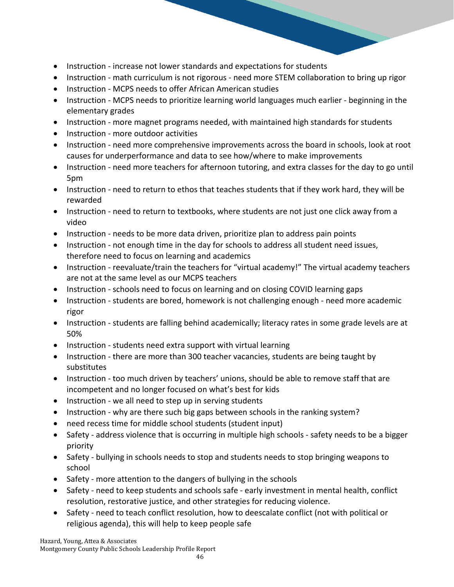- Instruction increase not lower standards and expectations for students
- Instruction math curriculum is not rigorous need more STEM collaboration to bring up rigor
- Instruction MCPS needs to offer African American studies
- Instruction MCPS needs to prioritize learning world languages much earlier beginning in the elementary grades
- Instruction more magnet programs needed, with maintained high standards for students
- Instruction more outdoor activities
- Instruction need more comprehensive improvements across the board in schools, look at root causes for underperformance and data to see how/where to make improvements
- Instruction need more teachers for afternoon tutoring, and extra classes for the day to go until 5pm
- Instruction need to return to ethos that teaches students that if they work hard, they will be rewarded
- Instruction need to return to textbooks, where students are not just one click away from a video
- Instruction needs to be more data driven, prioritize plan to address pain points
- Instruction not enough time in the day for schools to address all student need issues, therefore need to focus on learning and academics
- Instruction reevaluate/train the teachers for "virtual academy!" The virtual academy teachers are not at the same level as our MCPS teachers
- Instruction schools need to focus on learning and on closing COVID learning gaps
- Instruction students are bored, homework is not challenging enough need more academic rigor
- Instruction students are falling behind academically; literacy rates in some grade levels are at 50%
- Instruction students need extra support with virtual learning
- Instruction there are more than 300 teacher vacancies, students are being taught by substitutes
- Instruction too much driven by teachers' unions, should be able to remove staff that are incompetent and no longer focused on what's best for kids
- Instruction we all need to step up in serving students
- Instruction why are there such big gaps between schools in the ranking system?
- need recess time for middle school students (student input)
- Safety address violence that is occurring in multiple high schools safety needs to be a bigger priority
- Safety bullying in schools needs to stop and students needs to stop bringing weapons to school
- Safety more attention to the dangers of bullying in the schools
- Safety need to keep students and schools safe early investment in mental health, conflict resolution, restorative justice, and other strategies for reducing violence.
- Safety need to teach conflict resolution, how to deescalate conflict (not with political or religious agenda), this will help to keep people safe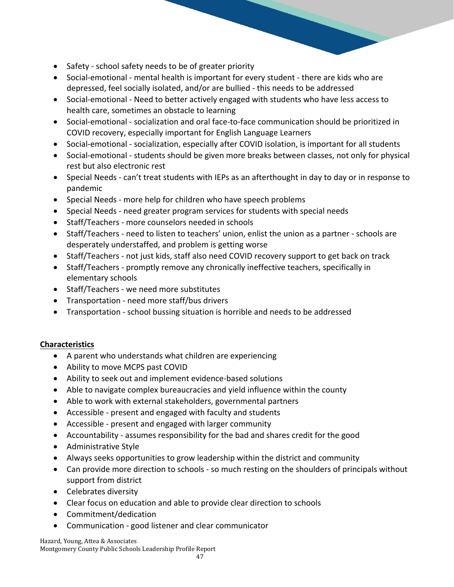- Safety school safety needs to be of greater priority
- Social-emotional mental health is important for every student there are kids who are depressed, feel socially isolated, and/or are bullied - this needs to be addressed
- Social-emotional Need to better actively engaged with students who have less access to health care, sometimes an obstacle to learning
- Social-emotional socialization and oral face-to-face communication should be prioritized in COVID recovery, especially important for English Language Learners
- Social-emotional socialization, especially after COVID isolation, is important for all students
- Social-emotional students should be given more breaks between classes, not only for physical rest but also electronic rest
- Special Needs can't treat students with IEPs as an afterthought in day to day or in response to pandemic
- Special Needs more help for children who have speech problems
- Special Needs need greater program services for students with special needs
- Staff/Teachers more counselors needed in schools
- Staff/Teachers need to listen to teachers' union, enlist the union as a partner schools are desperately understaffed, and problem is getting worse
- Staff/Teachers not just kids, staff also need COVID recovery support to get back on track
- Staff/Teachers promptly remove any chronically ineffective teachers, specifically in elementary schools
- Staff/Teachers we need more substitutes
- Transportation need more staff/bus drivers
- Transportation school bussing situation is horrible and needs to be addressed

- A parent who understands what children are experiencing
- Ability to move MCPS past COVID
- Ability to seek out and implement evidence-based solutions
- Able to navigate complex bureaucracies and yield influence within the county
- Able to work with external stakeholders, governmental partners
- Accessible present and engaged with faculty and students
- Accessible present and engaged with larger community
- Accountability assumes responsibility for the bad and shares credit for the good
- Administrative Style
- Always seeks opportunities to grow leadership within the district and community
- Can provide more direction to schools so much resting on the shoulders of principals without support from district
- Celebrates diversity
- Clear focus on education and able to provide clear direction to schools
- Commitment/dedication
- Communication good listener and clear communicator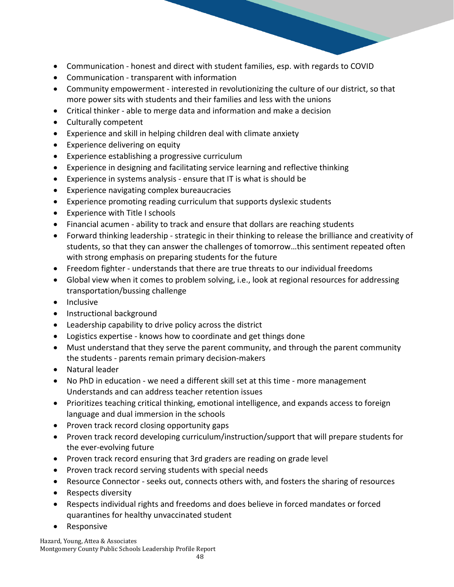- Communication honest and direct with student families, esp. with regards to COVID
- Communication transparent with information
- Community empowerment interested in revolutionizing the culture of our district, so that more power sits with students and their families and less with the unions
- Critical thinker able to merge data and information and make a decision
- Culturally competent
- Experience and skill in helping children deal with climate anxiety
- Experience delivering on equity
- Experience establishing a progressive curriculum
- Experience in designing and facilitating service learning and reflective thinking
- Experience in systems analysis ensure that IT is what is should be
- Experience navigating complex bureaucracies
- Experience promoting reading curriculum that supports dyslexic students
- Experience with Title I schools
- Financial acumen ability to track and ensure that dollars are reaching students
- Forward thinking leadership strategic in their thinking to release the brilliance and creativity of students, so that they can answer the challenges of tomorrow…this sentiment repeated often with strong emphasis on preparing students for the future
- Freedom fighter understands that there are true threats to our individual freedoms
- Global view when it comes to problem solving, i.e., look at regional resources for addressing transportation/bussing challenge
- Inclusive
- Instructional background
- Leadership capability to drive policy across the district
- Logistics expertise knows how to coordinate and get things done
- Must understand that they serve the parent community, and through the parent community the students - parents remain primary decision-makers
- Natural leader
- No PhD in education we need a different skill set at this time more management Understands and can address teacher retention issues
- Prioritizes teaching critical thinking, emotional intelligence, and expands access to foreign language and dual immersion in the schools
- Proven track record closing opportunity gaps
- Proven track record developing curriculum/instruction/support that will prepare students for the ever-evolving future
- Proven track record ensuring that 3rd graders are reading on grade level
- Proven track record serving students with special needs
- Resource Connector seeks out, connects others with, and fosters the sharing of resources
- Respects diversity
- Respects individual rights and freedoms and does believe in forced mandates or forced quarantines for healthy unvaccinated student
- Responsive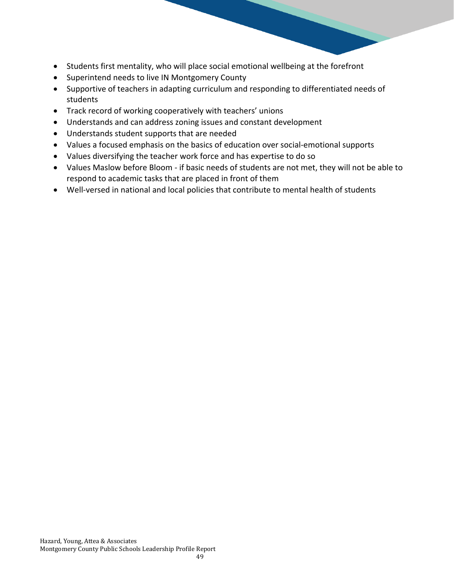- Students first mentality, who will place social emotional wellbeing at the forefront
- Superintend needs to live IN Montgomery County
- Supportive of teachers in adapting curriculum and responding to differentiated needs of students
- Track record of working cooperatively with teachers' unions
- Understands and can address zoning issues and constant development
- Understands student supports that are needed
- Values a focused emphasis on the basics of education over social-emotional supports
- Values diversifying the teacher work force and has expertise to do so
- Values Maslow before Bloom if basic needs of students are not met, they will not be able to respond to academic tasks that are placed in front of them
- Well-versed in national and local policies that contribute to mental health of students